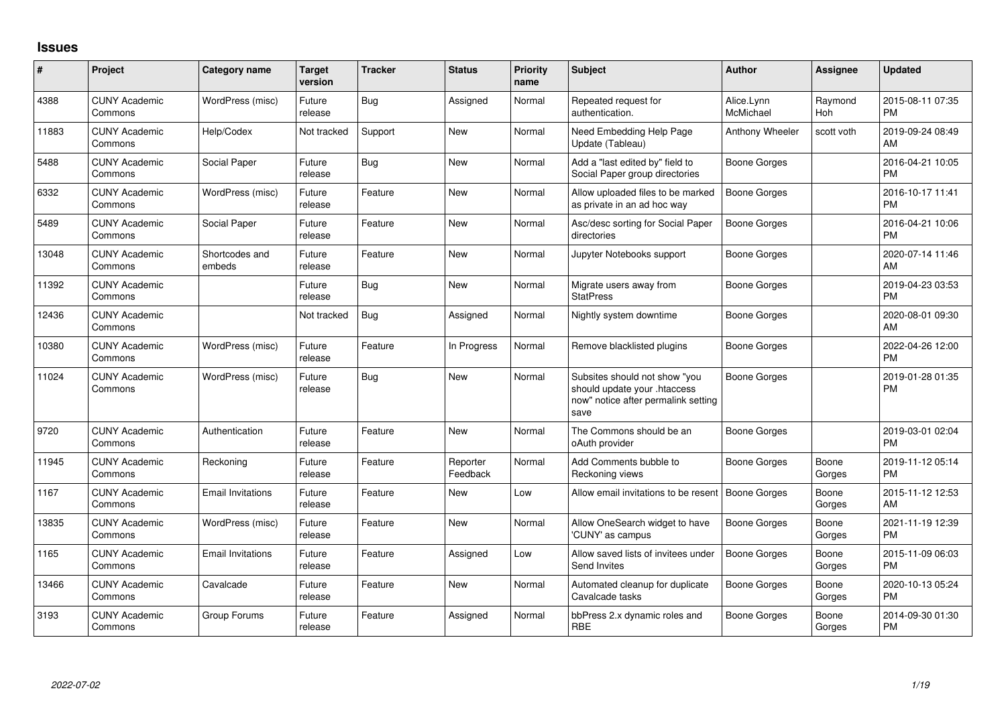## **Issues**

| #     | Project                         | <b>Category name</b>     | <b>Target</b><br>version | <b>Tracker</b> | <b>Status</b>        | <b>Priority</b><br>name | <b>Subject</b>                                                                                               | <b>Author</b>           | Assignee        | <b>Updated</b>                |
|-------|---------------------------------|--------------------------|--------------------------|----------------|----------------------|-------------------------|--------------------------------------------------------------------------------------------------------------|-------------------------|-----------------|-------------------------------|
| 4388  | <b>CUNY Academic</b><br>Commons | WordPress (misc)         | Future<br>release        | Bug            | Assigned             | Normal                  | Repeated request for<br>authentication.                                                                      | Alice.Lynn<br>McMichael | Raymond<br>Hoh  | 2015-08-11 07:35<br><b>PM</b> |
| 11883 | <b>CUNY Academic</b><br>Commons | Help/Codex               | Not tracked              | Support        | <b>New</b>           | Normal                  | Need Embedding Help Page<br>Update (Tableau)                                                                 | Anthony Wheeler         | scott voth      | 2019-09-24 08:49<br>AM        |
| 5488  | <b>CUNY Academic</b><br>Commons | Social Paper             | Future<br>release        | Bug            | <b>New</b>           | Normal                  | Add a "last edited by" field to<br>Social Paper group directories                                            | Boone Gorges            |                 | 2016-04-21 10:05<br><b>PM</b> |
| 6332  | <b>CUNY Academic</b><br>Commons | WordPress (misc)         | Future<br>release        | Feature        | New                  | Normal                  | Allow uploaded files to be marked<br>as private in an ad hoc way                                             | <b>Boone Gorges</b>     |                 | 2016-10-17 11:41<br><b>PM</b> |
| 5489  | <b>CUNY Academic</b><br>Commons | Social Paper             | Future<br>release        | Feature        | <b>New</b>           | Normal                  | Asc/desc sorting for Social Paper<br>directories                                                             | <b>Boone Gorges</b>     |                 | 2016-04-21 10:06<br><b>PM</b> |
| 13048 | <b>CUNY Academic</b><br>Commons | Shortcodes and<br>embeds | Future<br>release        | Feature        | <b>New</b>           | Normal                  | Jupyter Notebooks support                                                                                    | <b>Boone Gorges</b>     |                 | 2020-07-14 11:46<br>AM        |
| 11392 | <b>CUNY Academic</b><br>Commons |                          | Future<br>release        | Bug            | <b>New</b>           | Normal                  | Migrate users away from<br><b>StatPress</b>                                                                  | Boone Gorges            |                 | 2019-04-23 03:53<br><b>PM</b> |
| 12436 | <b>CUNY Academic</b><br>Commons |                          | Not tracked              | Bug            | Assigned             | Normal                  | Nightly system downtime                                                                                      | Boone Gorges            |                 | 2020-08-01 09:30<br>AM        |
| 10380 | <b>CUNY Academic</b><br>Commons | WordPress (misc)         | Future<br>release        | Feature        | In Progress          | Normal                  | Remove blacklisted plugins                                                                                   | <b>Boone Gorges</b>     |                 | 2022-04-26 12:00<br><b>PM</b> |
| 11024 | <b>CUNY Academic</b><br>Commons | WordPress (misc)         | Future<br>release        | <b>Bug</b>     | New                  | Normal                  | Subsites should not show "you<br>should update your .htaccess<br>now" notice after permalink setting<br>save | Boone Gorges            |                 | 2019-01-28 01:35<br><b>PM</b> |
| 9720  | <b>CUNY Academic</b><br>Commons | Authentication           | Future<br>release        | Feature        | <b>New</b>           | Normal                  | The Commons should be an<br>oAuth provider                                                                   | Boone Gorges            |                 | 2019-03-01 02:04<br><b>PM</b> |
| 11945 | <b>CUNY Academic</b><br>Commons | Reckoning                | Future<br>release        | Feature        | Reporter<br>Feedback | Normal                  | Add Comments bubble to<br>Reckoning views                                                                    | Boone Gorges            | Boone<br>Gorges | 2019-11-12 05:14<br><b>PM</b> |
| 1167  | <b>CUNY Academic</b><br>Commons | <b>Email Invitations</b> | Future<br>release        | Feature        | New                  | Low                     | Allow email invitations to be resent                                                                         | <b>Boone Gorges</b>     | Boone<br>Gorges | 2015-11-12 12:53<br>AM        |
| 13835 | <b>CUNY Academic</b><br>Commons | WordPress (misc)         | Future<br>release        | Feature        | New                  | Normal                  | Allow OneSearch widget to have<br>'CUNY' as campus                                                           | Boone Gorges            | Boone<br>Gorges | 2021-11-19 12:39<br><b>PM</b> |
| 1165  | <b>CUNY Academic</b><br>Commons | <b>Email Invitations</b> | Future<br>release        | Feature        | Assigned             | Low                     | Allow saved lists of invitees under<br>Send Invites                                                          | <b>Boone Gorges</b>     | Boone<br>Gorges | 2015-11-09 06:03<br><b>PM</b> |
| 13466 | <b>CUNY Academic</b><br>Commons | Cavalcade                | Future<br>release        | Feature        | New                  | Normal                  | Automated cleanup for duplicate<br>Cavalcade tasks                                                           | Boone Gorges            | Boone<br>Gorges | 2020-10-13 05:24<br><b>PM</b> |
| 3193  | <b>CUNY Academic</b><br>Commons | Group Forums             | Future<br>release        | Feature        | Assigned             | Normal                  | bbPress 2.x dynamic roles and<br><b>RBE</b>                                                                  | Boone Gorges            | Boone<br>Gorges | 2014-09-30 01:30<br>PM        |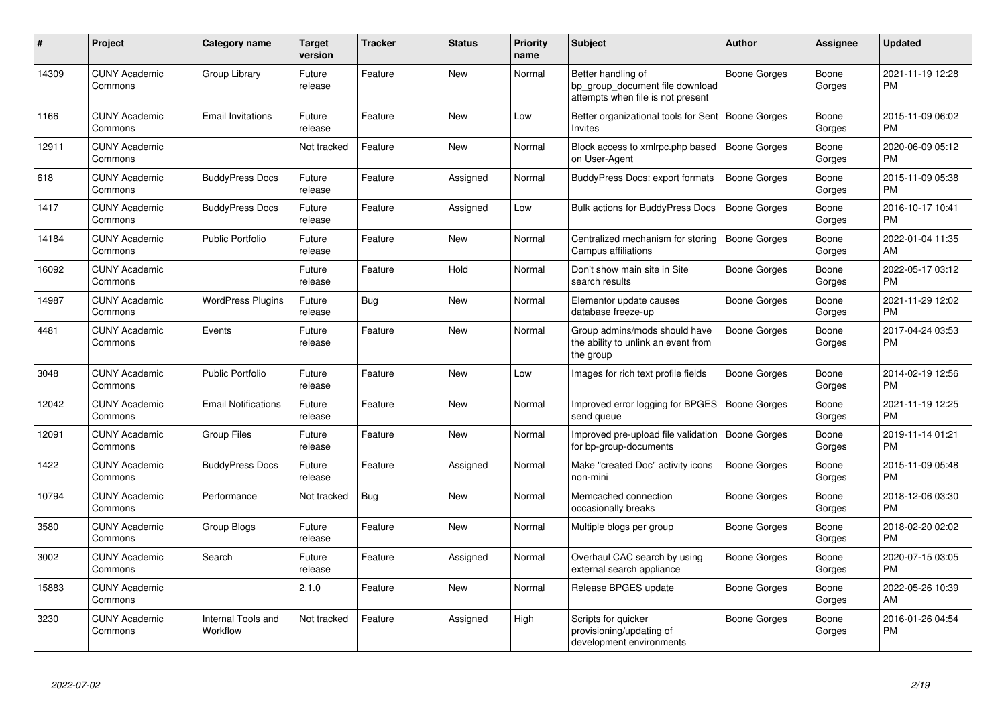| #     | Project                         | <b>Category name</b>           | <b>Target</b><br>version | <b>Tracker</b> | <b>Status</b> | <b>Priority</b><br>name | <b>Subject</b>                                                                             | <b>Author</b>       | Assignee        | <b>Updated</b>                |
|-------|---------------------------------|--------------------------------|--------------------------|----------------|---------------|-------------------------|--------------------------------------------------------------------------------------------|---------------------|-----------------|-------------------------------|
| 14309 | <b>CUNY Academic</b><br>Commons | Group Library                  | Future<br>release        | Feature        | <b>New</b>    | Normal                  | Better handling of<br>bp group document file download<br>attempts when file is not present | Boone Gorges        | Boone<br>Gorges | 2021-11-19 12:28<br><b>PM</b> |
| 1166  | <b>CUNY Academic</b><br>Commons | <b>Email Invitations</b>       | Future<br>release        | Feature        | New           | Low                     | Better organizational tools for Sent<br><b>Invites</b>                                     | Boone Gorges        | Boone<br>Gorges | 2015-11-09 06:02<br><b>PM</b> |
| 12911 | <b>CUNY Academic</b><br>Commons |                                | Not tracked              | Feature        | New           | Normal                  | Block access to xmlrpc.php based<br>on User-Agent                                          | <b>Boone Gorges</b> | Boone<br>Gorges | 2020-06-09 05:12<br><b>PM</b> |
| 618   | <b>CUNY Academic</b><br>Commons | <b>BuddyPress Docs</b>         | Future<br>release        | Feature        | Assigned      | Normal                  | <b>BuddyPress Docs: export formats</b>                                                     | <b>Boone Gorges</b> | Boone<br>Gorges | 2015-11-09 05:38<br><b>PM</b> |
| 1417  | <b>CUNY Academic</b><br>Commons | <b>BuddyPress Docs</b>         | Future<br>release        | Feature        | Assigned      | Low                     | <b>Bulk actions for BuddyPress Docs</b>                                                    | <b>Boone Gorges</b> | Boone<br>Gorges | 2016-10-17 10:41<br><b>PM</b> |
| 14184 | <b>CUNY Academic</b><br>Commons | <b>Public Portfolio</b>        | Future<br>release        | Feature        | <b>New</b>    | Normal                  | Centralized mechanism for storing<br>Campus affiliations                                   | <b>Boone Gorges</b> | Boone<br>Gorges | 2022-01-04 11:35<br>AM        |
| 16092 | <b>CUNY Academic</b><br>Commons |                                | Future<br>release        | Feature        | Hold          | Normal                  | Don't show main site in Site<br>search results                                             | Boone Gorges        | Boone<br>Gorges | 2022-05-17 03:12<br><b>PM</b> |
| 14987 | <b>CUNY Academic</b><br>Commons | <b>WordPress Plugins</b>       | Future<br>release        | Bug            | <b>New</b>    | Normal                  | Elementor update causes<br>database freeze-up                                              | Boone Gorges        | Boone<br>Gorges | 2021-11-29 12:02<br><b>PM</b> |
| 4481  | <b>CUNY Academic</b><br>Commons | Events                         | Future<br>release        | Feature        | New           | Normal                  | Group admins/mods should have<br>the ability to unlink an event from<br>the group          | Boone Gorges        | Boone<br>Gorges | 2017-04-24 03:53<br><b>PM</b> |
| 3048  | <b>CUNY Academic</b><br>Commons | <b>Public Portfolio</b>        | Future<br>release        | Feature        | <b>New</b>    | Low                     | Images for rich text profile fields                                                        | Boone Gorges        | Boone<br>Gorges | 2014-02-19 12:56<br><b>PM</b> |
| 12042 | <b>CUNY Academic</b><br>Commons | <b>Email Notifications</b>     | Future<br>release        | Feature        | <b>New</b>    | Normal                  | Improved error logging for BPGES<br>send queue                                             | Boone Gorges        | Boone<br>Gorges | 2021-11-19 12:25<br><b>PM</b> |
| 12091 | <b>CUNY Academic</b><br>Commons | <b>Group Files</b>             | Future<br>release        | Feature        | <b>New</b>    | Normal                  | Improved pre-upload file validation<br>for bp-group-documents                              | <b>Boone Gorges</b> | Boone<br>Gorges | 2019-11-14 01:21<br><b>PM</b> |
| 1422  | <b>CUNY Academic</b><br>Commons | <b>BuddyPress Docs</b>         | Future<br>release        | Feature        | Assigned      | Normal                  | Make "created Doc" activity icons<br>non-mini                                              | Boone Gorges        | Boone<br>Gorges | 2015-11-09 05:48<br><b>PM</b> |
| 10794 | <b>CUNY Academic</b><br>Commons | Performance                    | Not tracked              | Bug            | New           | Normal                  | Memcached connection<br>occasionally breaks                                                | Boone Gorges        | Boone<br>Gorges | 2018-12-06 03:30<br><b>PM</b> |
| 3580  | <b>CUNY Academic</b><br>Commons | Group Blogs                    | Future<br>release        | Feature        | <b>New</b>    | Normal                  | Multiple blogs per group                                                                   | Boone Gorges        | Boone<br>Gorges | 2018-02-20 02:02<br><b>PM</b> |
| 3002  | <b>CUNY Academic</b><br>Commons | Search                         | Future<br>release        | Feature        | Assigned      | Normal                  | Overhaul CAC search by using<br>external search appliance                                  | Boone Gorges        | Boone<br>Gorges | 2020-07-15 03:05<br><b>PM</b> |
| 15883 | <b>CUNY Academic</b><br>Commons |                                | 2.1.0                    | Feature        | <b>New</b>    | Normal                  | Release BPGES update                                                                       | Boone Gorges        | Boone<br>Gorges | 2022-05-26 10:39<br>AM        |
| 3230  | <b>CUNY Academic</b><br>Commons | Internal Tools and<br>Workflow | Not tracked              | Feature        | Assigned      | High                    | Scripts for quicker<br>provisioning/updating of<br>development environments                | Boone Gorges        | Boone<br>Gorges | 2016-01-26 04:54<br><b>PM</b> |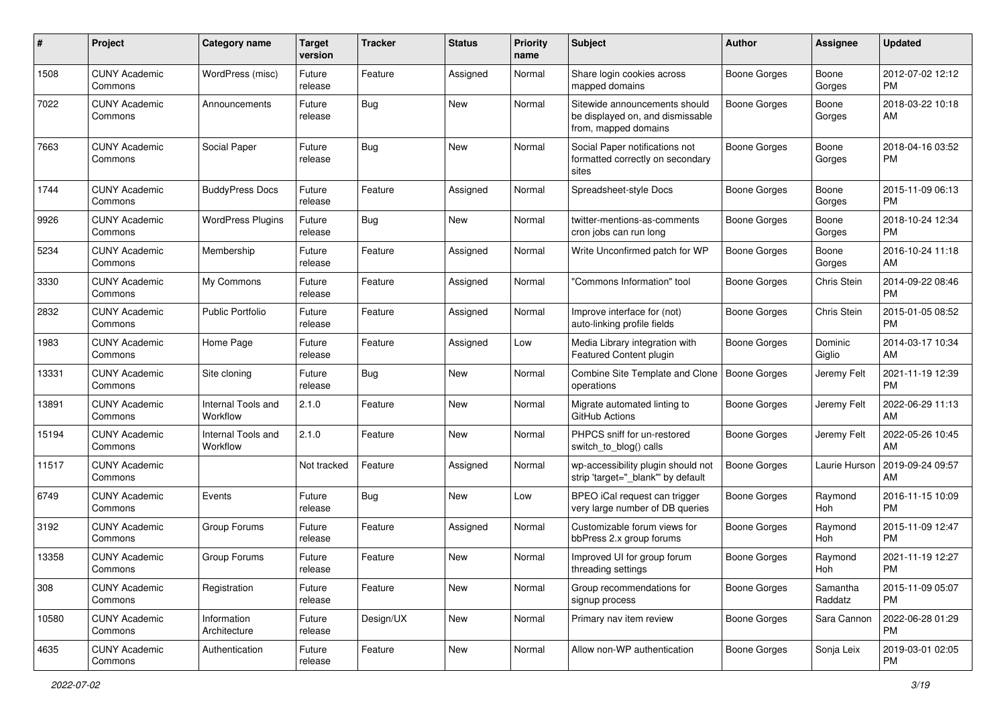| #     | Project                         | <b>Category name</b>           | <b>Target</b><br>version | <b>Tracker</b> | <b>Status</b> | <b>Priority</b><br>name | Subject                                                                                   | Author              | <b>Assignee</b>     | <b>Updated</b>                |
|-------|---------------------------------|--------------------------------|--------------------------|----------------|---------------|-------------------------|-------------------------------------------------------------------------------------------|---------------------|---------------------|-------------------------------|
| 1508  | <b>CUNY Academic</b><br>Commons | WordPress (misc)               | Future<br>release        | Feature        | Assigned      | Normal                  | Share login cookies across<br>mapped domains                                              | <b>Boone Gorges</b> | Boone<br>Gorges     | 2012-07-02 12:12<br><b>PM</b> |
| 7022  | <b>CUNY Academic</b><br>Commons | Announcements                  | Future<br>release        | Bug            | New           | Normal                  | Sitewide announcements should<br>be displayed on, and dismissable<br>from, mapped domains | <b>Boone Gorges</b> | Boone<br>Gorges     | 2018-03-22 10:18<br>AM        |
| 7663  | <b>CUNY Academic</b><br>Commons | Social Paper                   | Future<br>release        | <b>Bug</b>     | New           | Normal                  | Social Paper notifications not<br>formatted correctly on secondary<br>sites               | <b>Boone Gorges</b> | Boone<br>Gorges     | 2018-04-16 03:52<br><b>PM</b> |
| 1744  | <b>CUNY Academic</b><br>Commons | <b>BuddyPress Docs</b>         | Future<br>release        | Feature        | Assigned      | Normal                  | Spreadsheet-style Docs                                                                    | Boone Gorges        | Boone<br>Gorges     | 2015-11-09 06:13<br><b>PM</b> |
| 9926  | <b>CUNY Academic</b><br>Commons | <b>WordPress Plugins</b>       | Future<br>release        | Bug            | New           | Normal                  | twitter-mentions-as-comments<br>cron jobs can run long                                    | Boone Gorges        | Boone<br>Gorges     | 2018-10-24 12:34<br><b>PM</b> |
| 5234  | <b>CUNY Academic</b><br>Commons | Membership                     | Future<br>release        | Feature        | Assigned      | Normal                  | Write Unconfirmed patch for WP                                                            | Boone Gorges        | Boone<br>Gorges     | 2016-10-24 11:18<br>AM        |
| 3330  | <b>CUNY Academic</b><br>Commons | My Commons                     | Future<br>release        | Feature        | Assigned      | Normal                  | "Commons Information" tool                                                                | <b>Boone Gorges</b> | Chris Stein         | 2014-09-22 08:46<br><b>PM</b> |
| 2832  | <b>CUNY Academic</b><br>Commons | <b>Public Portfolio</b>        | Future<br>release        | Feature        | Assigned      | Normal                  | Improve interface for (not)<br>auto-linking profile fields                                | Boone Gorges        | Chris Stein         | 2015-01-05 08:52<br><b>PM</b> |
| 1983  | <b>CUNY Academic</b><br>Commons | Home Page                      | Future<br>release        | Feature        | Assigned      | Low                     | Media Library integration with<br>Featured Content plugin                                 | Boone Gorges        | Dominic<br>Giglio   | 2014-03-17 10:34<br>AM        |
| 13331 | <b>CUNY Academic</b><br>Commons | Site cloning                   | Future<br>release        | Bug            | <b>New</b>    | Normal                  | Combine Site Template and Clone<br>operations                                             | Boone Gorges        | Jeremy Felt         | 2021-11-19 12:39<br><b>PM</b> |
| 13891 | <b>CUNY Academic</b><br>Commons | Internal Tools and<br>Workflow | 2.1.0                    | Feature        | New           | Normal                  | Migrate automated linting to<br>GitHub Actions                                            | Boone Gorges        | Jeremy Felt         | 2022-06-29 11:13<br>AM        |
| 15194 | <b>CUNY Academic</b><br>Commons | Internal Tools and<br>Workflow | 2.1.0                    | Feature        | <b>New</b>    | Normal                  | PHPCS sniff for un-restored<br>switch_to_blog() calls                                     | Boone Gorges        | Jeremy Felt         | 2022-05-26 10:45<br>AM        |
| 11517 | <b>CUNY Academic</b><br>Commons |                                | Not tracked              | Feature        | Assigned      | Normal                  | wp-accessibility plugin should not<br>strip 'target="_blank" by default                   | Boone Gorges        | Laurie Hurson       | 2019-09-24 09:57<br>AM        |
| 6749  | <b>CUNY Academic</b><br>Commons | Events                         | Future<br>release        | Bug            | <b>New</b>    | Low                     | BPEO iCal request can trigger<br>very large number of DB queries                          | Boone Gorges        | Raymond<br>Hoh      | 2016-11-15 10:09<br><b>PM</b> |
| 3192  | <b>CUNY Academic</b><br>Commons | Group Forums                   | Future<br>release        | Feature        | Assigned      | Normal                  | Customizable forum views for<br>bbPress 2.x group forums                                  | Boone Gorges        | Raymond<br>Hoh      | 2015-11-09 12:47<br><b>PM</b> |
| 13358 | <b>CUNY Academic</b><br>Commons | Group Forums                   | Future<br>release        | Feature        | New           | Normal                  | Improved UI for group forum<br>threading settings                                         | <b>Boone Gorges</b> | Raymond<br>Hoh      | 2021-11-19 12:27<br>PM        |
| 308   | <b>CUNY Academic</b><br>Commons | Registration                   | Future<br>release        | Feature        | New           | Normal                  | Group recommendations for<br>signup process                                               | Boone Gorges        | Samantha<br>Raddatz | 2015-11-09 05:07<br><b>PM</b> |
| 10580 | <b>CUNY Academic</b><br>Commons | Information<br>Architecture    | Future<br>release        | Design/UX      | New           | Normal                  | Primary nav item review                                                                   | Boone Gorges        | Sara Cannon         | 2022-06-28 01:29<br><b>PM</b> |
| 4635  | <b>CUNY Academic</b><br>Commons | Authentication                 | Future<br>release        | Feature        | New           | Normal                  | Allow non-WP authentication                                                               | Boone Gorges        | Sonja Leix          | 2019-03-01 02:05<br><b>PM</b> |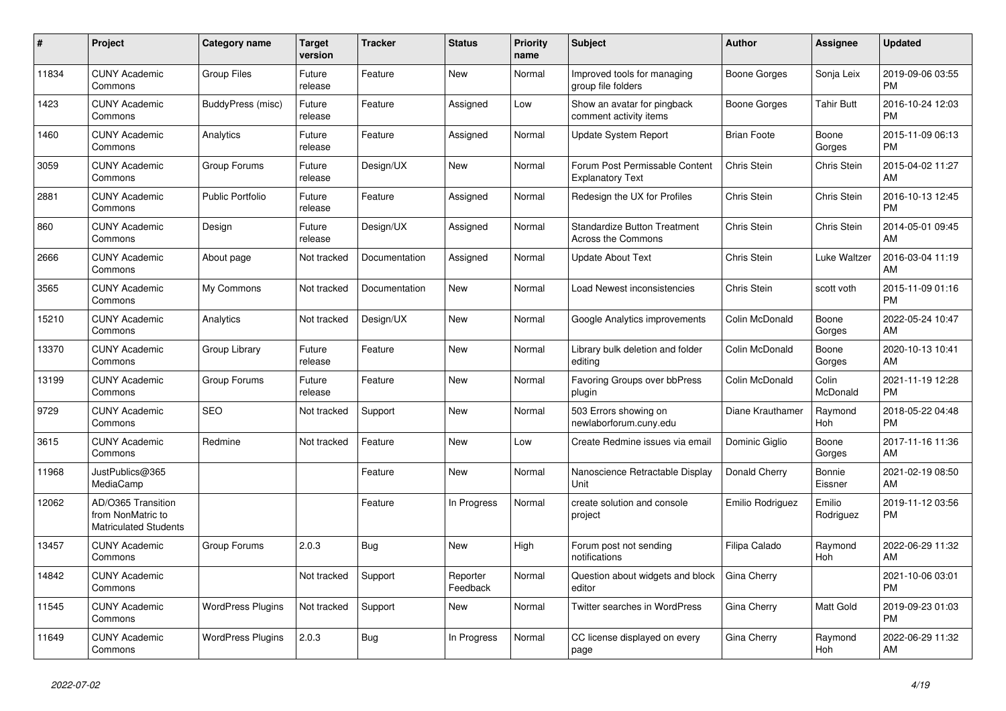| #     | <b>Project</b>                                                          | Category name            | <b>Target</b><br>version | <b>Tracker</b> | <b>Status</b>        | <b>Priority</b><br>name | <b>Subject</b>                                                   | <b>Author</b>      | Assignee            | <b>Updated</b>                |
|-------|-------------------------------------------------------------------------|--------------------------|--------------------------|----------------|----------------------|-------------------------|------------------------------------------------------------------|--------------------|---------------------|-------------------------------|
| 11834 | <b>CUNY Academic</b><br>Commons                                         | <b>Group Files</b>       | Future<br>release        | Feature        | <b>New</b>           | Normal                  | Improved tools for managing<br>group file folders                | Boone Gorges       | Sonja Leix          | 2019-09-06 03:55<br><b>PM</b> |
| 1423  | <b>CUNY Academic</b><br>Commons                                         | BuddyPress (misc)        | Future<br>release        | Feature        | Assigned             | Low                     | Show an avatar for pingback<br>comment activity items            | Boone Gorges       | <b>Tahir Butt</b>   | 2016-10-24 12:03<br><b>PM</b> |
| 1460  | <b>CUNY Academic</b><br>Commons                                         | Analytics                | Future<br>release        | Feature        | Assigned             | Normal                  | <b>Update System Report</b>                                      | <b>Brian Foote</b> | Boone<br>Gorges     | 2015-11-09 06:13<br><b>PM</b> |
| 3059  | <b>CUNY Academic</b><br>Commons                                         | Group Forums             | Future<br>release        | Design/UX      | <b>New</b>           | Normal                  | Forum Post Permissable Content<br><b>Explanatory Text</b>        | Chris Stein        | Chris Stein         | 2015-04-02 11:27<br>AM        |
| 2881  | <b>CUNY Academic</b><br>Commons                                         | <b>Public Portfolio</b>  | Future<br>release        | Feature        | Assigned             | Normal                  | Redesign the UX for Profiles                                     | Chris Stein        | Chris Stein         | 2016-10-13 12:45<br><b>PM</b> |
| 860   | <b>CUNY Academic</b><br>Commons                                         | Design                   | Future<br>release        | Design/UX      | Assigned             | Normal                  | <b>Standardize Button Treatment</b><br><b>Across the Commons</b> | Chris Stein        | Chris Stein         | 2014-05-01 09:45<br>AM        |
| 2666  | <b>CUNY Academic</b><br>Commons                                         | About page               | Not tracked              | Documentation  | Assigned             | Normal                  | <b>Update About Text</b>                                         | Chris Stein        | Luke Waltzer        | 2016-03-04 11:19<br>AM        |
| 3565  | <b>CUNY Academic</b><br>Commons                                         | My Commons               | Not tracked              | Documentation  | <b>New</b>           | Normal                  | Load Newest inconsistencies                                      | Chris Stein        | scott voth          | 2015-11-09 01:16<br><b>PM</b> |
| 15210 | <b>CUNY Academic</b><br>Commons                                         | Analytics                | Not tracked              | Design/UX      | New                  | Normal                  | Google Analytics improvements                                    | Colin McDonald     | Boone<br>Gorges     | 2022-05-24 10:47<br>AM        |
| 13370 | <b>CUNY Academic</b><br>Commons                                         | Group Library            | Future<br>release        | Feature        | New                  | Normal                  | Library bulk deletion and folder<br>editina                      | Colin McDonald     | Boone<br>Gorges     | 2020-10-13 10:41<br>AM        |
| 13199 | <b>CUNY Academic</b><br>Commons                                         | Group Forums             | Future<br>release        | Feature        | <b>New</b>           | Normal                  | Favoring Groups over bbPress<br>plugin                           | Colin McDonald     | Colin<br>McDonald   | 2021-11-19 12:28<br><b>PM</b> |
| 9729  | <b>CUNY Academic</b><br>Commons                                         | <b>SEO</b>               | Not tracked              | Support        | New                  | Normal                  | 503 Errors showing on<br>newlaborforum.cuny.edu                  | Diane Krauthamer   | Raymond<br>Hoh      | 2018-05-22 04:48<br><b>PM</b> |
| 3615  | <b>CUNY Academic</b><br>Commons                                         | Redmine                  | Not tracked              | Feature        | New                  | Low                     | Create Redmine issues via email                                  | Dominic Giglio     | Boone<br>Gorges     | 2017-11-16 11:36<br>AM        |
| 11968 | JustPublics@365<br>MediaCamp                                            |                          |                          | Feature        | <b>New</b>           | Normal                  | Nanoscience Retractable Display<br>Unit                          | Donald Cherry      | Bonnie<br>Eissner   | 2021-02-19 08:50<br>AM        |
| 12062 | AD/O365 Transition<br>from NonMatric to<br><b>Matriculated Students</b> |                          |                          | Feature        | In Progress          | Normal                  | create solution and console<br>project                           | Emilio Rodriguez   | Emilio<br>Rodriguez | 2019-11-12 03:56<br><b>PM</b> |
| 13457 | <b>CUNY Academic</b><br>Commons                                         | Group Forums             | 2.0.3                    | <b>Bug</b>     | <b>New</b>           | High                    | Forum post not sending<br>notifications                          | Filipa Calado      | Raymond<br>Hoh      | 2022-06-29 11:32<br>AM        |
| 14842 | <b>CUNY Academic</b><br>Commons                                         |                          | Not tracked              | Support        | Reporter<br>Feedback | Normal                  | Question about widgets and block<br>editor                       | Gina Cherry        |                     | 2021-10-06 03:01<br><b>PM</b> |
| 11545 | <b>CUNY Academic</b><br>Commons                                         | <b>WordPress Plugins</b> | Not tracked              | Support        | New                  | Normal                  | Twitter searches in WordPress                                    | Gina Cherry        | Matt Gold           | 2019-09-23 01:03<br><b>PM</b> |
| 11649 | <b>CUNY Academic</b><br>Commons                                         | <b>WordPress Plugins</b> | 2.0.3                    | Bug            | In Progress          | Normal                  | CC license displayed on every<br>page                            | Gina Cherry        | Raymond<br>Hoh      | 2022-06-29 11:32<br>AM        |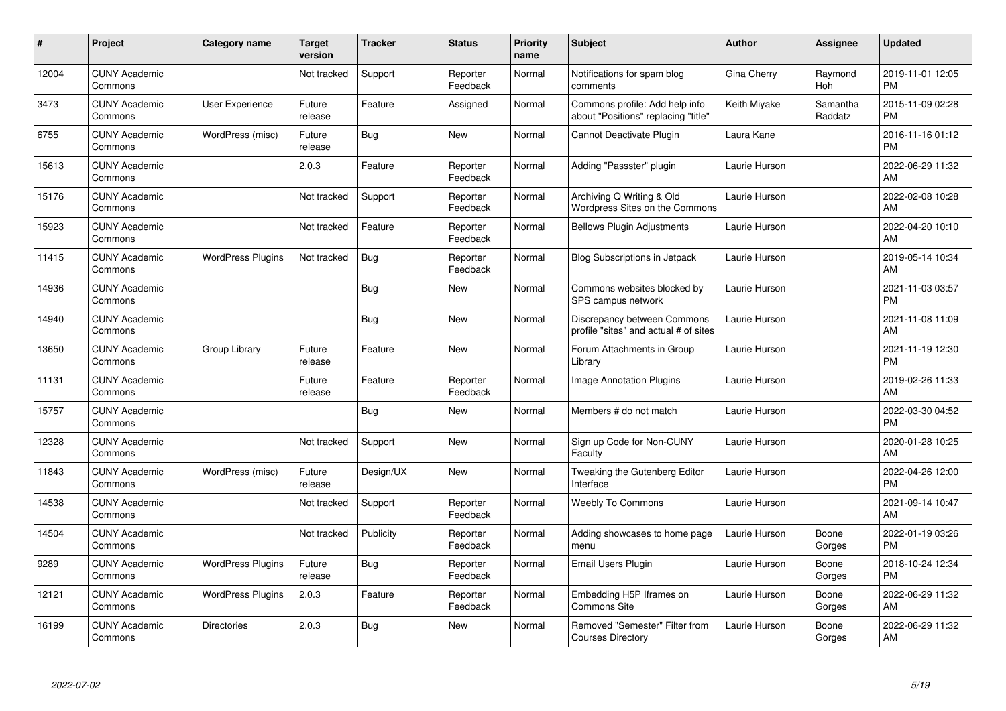| #     | Project                         | Category name            | <b>Target</b><br>version | <b>Tracker</b> | <b>Status</b>        | <b>Priority</b><br>name | <b>Subject</b>                                                        | Author        | <b>Assignee</b>     | <b>Updated</b>                |
|-------|---------------------------------|--------------------------|--------------------------|----------------|----------------------|-------------------------|-----------------------------------------------------------------------|---------------|---------------------|-------------------------------|
| 12004 | <b>CUNY Academic</b><br>Commons |                          | Not tracked              | Support        | Reporter<br>Feedback | Normal                  | Notifications for spam blog<br>comments                               | Gina Cherry   | Raymond<br>Hoh      | 2019-11-01 12:05<br><b>PM</b> |
| 3473  | <b>CUNY Academic</b><br>Commons | User Experience          | Future<br>release        | Feature        | Assigned             | Normal                  | Commons profile: Add help info<br>about "Positions" replacing "title" | Keith Miyake  | Samantha<br>Raddatz | 2015-11-09 02:28<br><b>PM</b> |
| 6755  | <b>CUNY Academic</b><br>Commons | WordPress (misc)         | Future<br>release        | Bug            | <b>New</b>           | Normal                  | Cannot Deactivate Plugin                                              | Laura Kane    |                     | 2016-11-16 01:12<br><b>PM</b> |
| 15613 | <b>CUNY Academic</b><br>Commons |                          | 2.0.3                    | Feature        | Reporter<br>Feedback | Normal                  | Adding "Passster" plugin                                              | Laurie Hurson |                     | 2022-06-29 11:32<br>AM        |
| 15176 | <b>CUNY Academic</b><br>Commons |                          | Not tracked              | Support        | Reporter<br>Feedback | Normal                  | Archiving Q Writing & Old<br>Wordpress Sites on the Commons           | Laurie Hurson |                     | 2022-02-08 10:28<br>AM        |
| 15923 | <b>CUNY Academic</b><br>Commons |                          | Not tracked              | Feature        | Reporter<br>Feedback | Normal                  | <b>Bellows Plugin Adjustments</b>                                     | Laurie Hurson |                     | 2022-04-20 10:10<br>AM        |
| 11415 | <b>CUNY Academic</b><br>Commons | <b>WordPress Plugins</b> | Not tracked              | <b>Bug</b>     | Reporter<br>Feedback | Normal                  | <b>Blog Subscriptions in Jetpack</b>                                  | Laurie Hurson |                     | 2019-05-14 10:34<br>AM        |
| 14936 | <b>CUNY Academic</b><br>Commons |                          |                          | <b>Bug</b>     | <b>New</b>           | Normal                  | Commons websites blocked by<br>SPS campus network                     | Laurie Hurson |                     | 2021-11-03 03:57<br><b>PM</b> |
| 14940 | <b>CUNY Academic</b><br>Commons |                          |                          | Bug            | <b>New</b>           | Normal                  | Discrepancy between Commons<br>profile "sites" and actual # of sites  | Laurie Hurson |                     | 2021-11-08 11:09<br>AM        |
| 13650 | <b>CUNY Academic</b><br>Commons | Group Library            | Future<br>release        | Feature        | <b>New</b>           | Normal                  | Forum Attachments in Group<br>Library                                 | Laurie Hurson |                     | 2021-11-19 12:30<br><b>PM</b> |
| 11131 | <b>CUNY Academic</b><br>Commons |                          | Future<br>release        | Feature        | Reporter<br>Feedback | Normal                  | <b>Image Annotation Plugins</b>                                       | Laurie Hurson |                     | 2019-02-26 11:33<br>AM        |
| 15757 | <b>CUNY Academic</b><br>Commons |                          |                          | Bug            | <b>New</b>           | Normal                  | Members # do not match                                                | Laurie Hurson |                     | 2022-03-30 04:52<br><b>PM</b> |
| 12328 | <b>CUNY Academic</b><br>Commons |                          | Not tracked              | Support        | New                  | Normal                  | Sign up Code for Non-CUNY<br>Faculty                                  | Laurie Hurson |                     | 2020-01-28 10:25<br>AM        |
| 11843 | <b>CUNY Academic</b><br>Commons | WordPress (misc)         | Future<br>release        | Design/UX      | <b>New</b>           | Normal                  | Tweaking the Gutenberg Editor<br>Interface                            | Laurie Hurson |                     | 2022-04-26 12:00<br><b>PM</b> |
| 14538 | <b>CUNY Academic</b><br>Commons |                          | Not tracked              | Support        | Reporter<br>Feedback | Normal                  | <b>Weebly To Commons</b>                                              | Laurie Hurson |                     | 2021-09-14 10:47<br>AM        |
| 14504 | <b>CUNY Academic</b><br>Commons |                          | Not tracked              | Publicity      | Reporter<br>Feedback | Normal                  | Adding showcases to home page<br>menu                                 | Laurie Hurson | Boone<br>Gorges     | 2022-01-19 03:26<br><b>PM</b> |
| 9289  | <b>CUNY Academic</b><br>Commons | <b>WordPress Plugins</b> | Future<br>release        | Bug            | Reporter<br>Feedback | Normal                  | Email Users Plugin                                                    | Laurie Hurson | Boone<br>Gorges     | 2018-10-24 12:34<br><b>PM</b> |
| 12121 | <b>CUNY Academic</b><br>Commons | <b>WordPress Plugins</b> | 2.0.3                    | Feature        | Reporter<br>Feedback | Normal                  | Embedding H5P Iframes on<br><b>Commons Site</b>                       | Laurie Hurson | Boone<br>Gorges     | 2022-06-29 11:32<br>AM        |
| 16199 | <b>CUNY Academic</b><br>Commons | Directories              | 2.0.3                    | Bug            | <b>New</b>           | Normal                  | Removed "Semester" Filter from<br><b>Courses Directory</b>            | Laurie Hurson | Boone<br>Gorges     | 2022-06-29 11:32<br>AM        |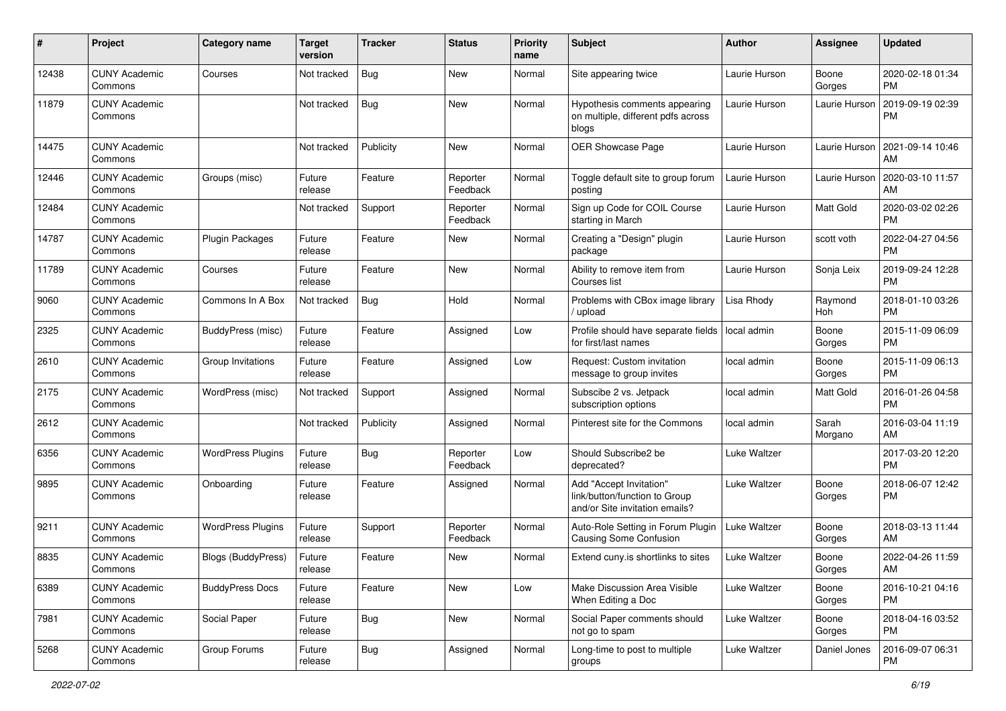| #     | Project                         | <b>Category name</b>     | <b>Target</b><br>version | Tracker    | <b>Status</b>        | <b>Priority</b><br>name | <b>Subject</b>                                                                             | Author              | <b>Assignee</b>  | <b>Updated</b>                |
|-------|---------------------------------|--------------------------|--------------------------|------------|----------------------|-------------------------|--------------------------------------------------------------------------------------------|---------------------|------------------|-------------------------------|
| 12438 | <b>CUNY Academic</b><br>Commons | Courses                  | Not tracked              | Bug        | New                  | Normal                  | Site appearing twice                                                                       | Laurie Hurson       | Boone<br>Gorges  | 2020-02-18 01:34<br><b>PM</b> |
| 11879 | <b>CUNY Academic</b><br>Commons |                          | Not tracked              | Bug        | New                  | Normal                  | Hypothesis comments appearing<br>on multiple, different pdfs across<br>blogs               | Laurie Hurson       | Laurie Hurson    | 2019-09-19 02:39<br><b>PM</b> |
| 14475 | <b>CUNY Academic</b><br>Commons |                          | Not tracked              | Publicity  | New                  | Normal                  | OER Showcase Page                                                                          | Laurie Hurson       | Laurie Hurson    | 2021-09-14 10:46<br>AM        |
| 12446 | <b>CUNY Academic</b><br>Commons | Groups (misc)            | Future<br>release        | Feature    | Reporter<br>Feedback | Normal                  | Toggle default site to group forum<br>posting                                              | Laurie Hurson       | Laurie Hurson    | 2020-03-10 11:57<br>AM        |
| 12484 | <b>CUNY Academic</b><br>Commons |                          | Not tracked              | Support    | Reporter<br>Feedback | Normal                  | Sign up Code for COIL Course<br>starting in March                                          | Laurie Hurson       | Matt Gold        | 2020-03-02 02:26<br><b>PM</b> |
| 14787 | <b>CUNY Academic</b><br>Commons | Plugin Packages          | Future<br>release        | Feature    | New                  | Normal                  | Creating a "Design" plugin<br>package                                                      | Laurie Hurson       | scott voth       | 2022-04-27 04:56<br><b>PM</b> |
| 11789 | <b>CUNY Academic</b><br>Commons | Courses                  | Future<br>release        | Feature    | New                  | Normal                  | Ability to remove item from<br>Courses list                                                | Laurie Hurson       | Sonja Leix       | 2019-09-24 12:28<br><b>PM</b> |
| 9060  | <b>CUNY Academic</b><br>Commons | Commons In A Box         | Not tracked              | Bug        | Hold                 | Normal                  | Problems with CBox image library<br>/ upload                                               | Lisa Rhody          | Raymond<br>Hoh   | 2018-01-10 03:26<br><b>PM</b> |
| 2325  | <b>CUNY Academic</b><br>Commons | BuddyPress (misc)        | Future<br>release        | Feature    | Assigned             | Low                     | Profile should have separate fields<br>for first/last names                                | local admin         | Boone<br>Gorges  | 2015-11-09 06:09<br><b>PM</b> |
| 2610  | <b>CUNY Academic</b><br>Commons | Group Invitations        | Future<br>release        | Feature    | Assigned             | Low                     | Request: Custom invitation<br>message to group invites                                     | local admin         | Boone<br>Gorges  | 2015-11-09 06:13<br><b>PM</b> |
| 2175  | <b>CUNY Academic</b><br>Commons | WordPress (misc)         | Not tracked              | Support    | Assigned             | Normal                  | Subscibe 2 vs. Jetpack<br>subscription options                                             | local admin         | Matt Gold        | 2016-01-26 04:58<br><b>PM</b> |
| 2612  | <b>CUNY Academic</b><br>Commons |                          | Not tracked              | Publicity  | Assigned             | Normal                  | Pinterest site for the Commons                                                             | local admin         | Sarah<br>Morgano | 2016-03-04 11:19<br>AM        |
| 6356  | <b>CUNY Academic</b><br>Commons | <b>WordPress Plugins</b> | Future<br>release        | Bug        | Reporter<br>Feedback | Low                     | Should Subscribe2 be<br>deprecated?                                                        | Luke Waltzer        |                  | 2017-03-20 12:20<br><b>PM</b> |
| 9895  | <b>CUNY Academic</b><br>Commons | Onboarding               | Future<br>release        | Feature    | Assigned             | Normal                  | Add "Accept Invitation"<br>link/button/function to Group<br>and/or Site invitation emails? | Luke Waltzer        | Boone<br>Gorges  | 2018-06-07 12:42<br><b>PM</b> |
| 9211  | <b>CUNY Academic</b><br>Commons | <b>WordPress Plugins</b> | Future<br>release        | Support    | Reporter<br>Feedback | Normal                  | Auto-Role Setting in Forum Plugin<br><b>Causing Some Confusion</b>                         | <b>Luke Waltzer</b> | Boone<br>Gorges  | 2018-03-13 11:44<br>AM        |
| 8835  | <b>CUNY Academic</b><br>Commons | Blogs (BuddyPress)       | Future<br>release        | Feature    | New                  | Normal                  | Extend cuny.is shortlinks to sites                                                         | Luke Waltzer        | Boone<br>Gorges  | 2022-04-26 11:59<br>AM        |
| 6389  | <b>CUNY Academic</b><br>Commons | <b>BuddyPress Docs</b>   | Future<br>release        | Feature    | New                  | Low                     | Make Discussion Area Visible<br>When Editing a Doc                                         | Luke Waltzer        | Boone<br>Gorges  | 2016-10-21 04:16<br>PM.       |
| 7981  | <b>CUNY Academic</b><br>Commons | Social Paper             | Future<br>release        | <b>Bug</b> | New                  | Normal                  | Social Paper comments should<br>not go to spam                                             | Luke Waltzer        | Boone<br>Gorges  | 2018-04-16 03:52<br><b>PM</b> |
| 5268  | <b>CUNY Academic</b><br>Commons | Group Forums             | Future<br>release        | <b>Bug</b> | Assigned             | Normal                  | Long-time to post to multiple<br>groups                                                    | Luke Waltzer        | Daniel Jones     | 2016-09-07 06:31<br><b>PM</b> |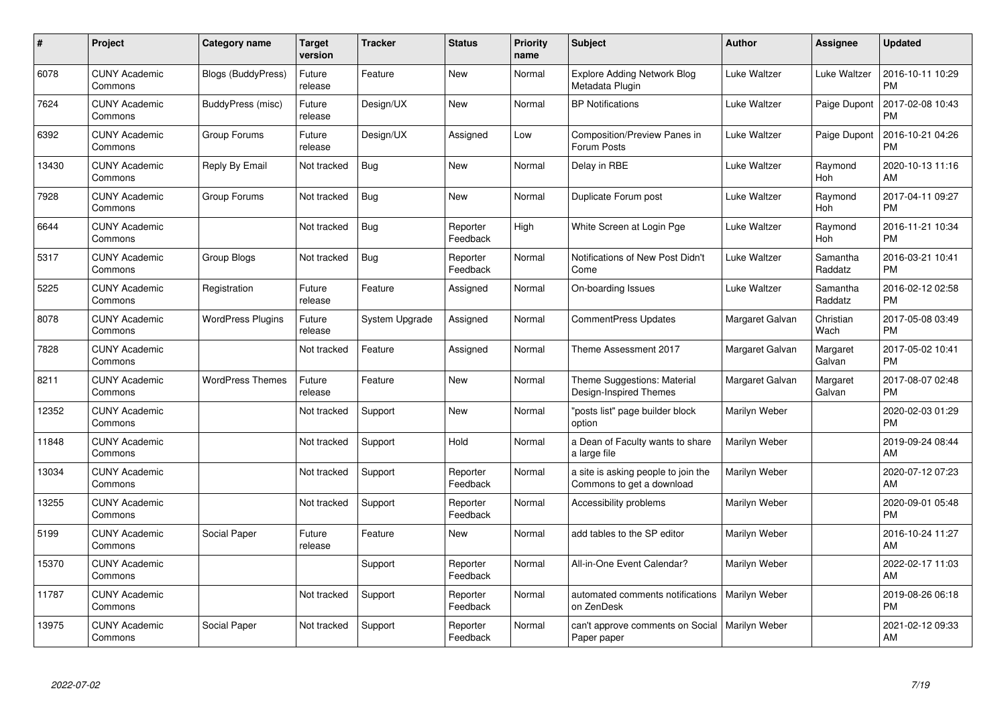| #     | Project                         | <b>Category name</b>      | Target<br>version | <b>Tracker</b> | <b>Status</b>        | Priority<br>name | <b>Subject</b>                                                   | <b>Author</b>   | <b>Assignee</b>     | <b>Updated</b>                |
|-------|---------------------------------|---------------------------|-------------------|----------------|----------------------|------------------|------------------------------------------------------------------|-----------------|---------------------|-------------------------------|
| 6078  | <b>CUNY Academic</b><br>Commons | <b>Blogs (BuddyPress)</b> | Future<br>release | Feature        | <b>New</b>           | Normal           | <b>Explore Adding Network Blog</b><br>Metadata Plugin            | Luke Waltzer    | Luke Waltzer        | 2016-10-11 10:29<br><b>PM</b> |
| 7624  | <b>CUNY Academic</b><br>Commons | BuddyPress (misc)         | Future<br>release | Design/UX      | <b>New</b>           | Normal           | <b>BP Notifications</b>                                          | Luke Waltzer    | Paige Dupont        | 2017-02-08 10:43<br><b>PM</b> |
| 6392  | <b>CUNY Academic</b><br>Commons | Group Forums              | Future<br>release | Design/UX      | Assigned             | Low              | Composition/Preview Panes in<br>Forum Posts                      | Luke Waltzer    | Paige Dupont        | 2016-10-21 04:26<br><b>PM</b> |
| 13430 | <b>CUNY Academic</b><br>Commons | Reply By Email            | Not tracked       | <b>Bug</b>     | <b>New</b>           | Normal           | Delay in RBE                                                     | Luke Waltzer    | Raymond<br>Hoh      | 2020-10-13 11:16<br>AM        |
| 7928  | <b>CUNY Academic</b><br>Commons | Group Forums              | Not tracked       | <b>Bug</b>     | <b>New</b>           | Normal           | Duplicate Forum post                                             | Luke Waltzer    | Raymond<br>Hoh      | 2017-04-11 09:27<br><b>PM</b> |
| 6644  | <b>CUNY Academic</b><br>Commons |                           | Not tracked       | <b>Bug</b>     | Reporter<br>Feedback | High             | White Screen at Login Pge                                        | Luke Waltzer    | Raymond<br>Hoh      | 2016-11-21 10:34<br><b>PM</b> |
| 5317  | <b>CUNY Academic</b><br>Commons | <b>Group Blogs</b>        | Not tracked       | <b>Bug</b>     | Reporter<br>Feedback | Normal           | Notifications of New Post Didn't<br>Come                         | Luke Waltzer    | Samantha<br>Raddatz | 2016-03-21 10:41<br><b>PM</b> |
| 5225  | <b>CUNY Academic</b><br>Commons | Registration              | Future<br>release | Feature        | Assigned             | Normal           | On-boarding Issues                                               | Luke Waltzer    | Samantha<br>Raddatz | 2016-02-12 02:58<br><b>PM</b> |
| 8078  | <b>CUNY Academic</b><br>Commons | <b>WordPress Plugins</b>  | Future<br>release | System Upgrade | Assigned             | Normal           | <b>CommentPress Updates</b>                                      | Margaret Galvan | Christian<br>Wach   | 2017-05-08 03:49<br><b>PM</b> |
| 7828  | <b>CUNY Academic</b><br>Commons |                           | Not tracked       | Feature        | Assigned             | Normal           | Theme Assessment 2017                                            | Margaret Galvan | Margaret<br>Galvan  | 2017-05-02 10:41<br><b>PM</b> |
| 8211  | <b>CUNY Academic</b><br>Commons | <b>WordPress Themes</b>   | Future<br>release | Feature        | <b>New</b>           | Normal           | Theme Suggestions: Material<br>Design-Inspired Themes            | Margaret Galvan | Margaret<br>Galvan  | 2017-08-07 02:48<br><b>PM</b> |
| 12352 | <b>CUNY Academic</b><br>Commons |                           | Not tracked       | Support        | <b>New</b>           | Normal           | "posts list" page builder block<br>option                        | Marilyn Weber   |                     | 2020-02-03 01:29<br><b>PM</b> |
| 11848 | <b>CUNY Academic</b><br>Commons |                           | Not tracked       | Support        | Hold                 | Normal           | a Dean of Faculty wants to share<br>a large file                 | Marilyn Weber   |                     | 2019-09-24 08:44<br>AM        |
| 13034 | <b>CUNY Academic</b><br>Commons |                           | Not tracked       | Support        | Reporter<br>Feedback | Normal           | a site is asking people to join the<br>Commons to get a download | Marilyn Weber   |                     | 2020-07-12 07:23<br>AM        |
| 13255 | <b>CUNY Academic</b><br>Commons |                           | Not tracked       | Support        | Reporter<br>Feedback | Normal           | Accessibility problems                                           | Marilyn Weber   |                     | 2020-09-01 05:48<br><b>PM</b> |
| 5199  | <b>CUNY Academic</b><br>Commons | Social Paper              | Future<br>release | Feature        | New                  | Normal           | add tables to the SP editor                                      | Marilyn Weber   |                     | 2016-10-24 11:27<br>AM        |
| 15370 | <b>CUNY Academic</b><br>Commons |                           |                   | Support        | Reporter<br>Feedback | Normal           | All-in-One Event Calendar?                                       | Marilyn Weber   |                     | 2022-02-17 11:03<br><b>AM</b> |
| 11787 | <b>CUNY Academic</b><br>Commons |                           | Not tracked       | Support        | Reporter<br>Feedback | Normal           | automated comments notifications<br>on ZenDesk                   | Marilyn Weber   |                     | 2019-08-26 06:18<br><b>PM</b> |
| 13975 | <b>CUNY Academic</b><br>Commons | Social Paper              | Not tracked       | Support        | Reporter<br>Feedback | Normal           | can't approve comments on Social<br>Paper paper                  | Marilyn Weber   |                     | 2021-02-12 09:33<br>AM        |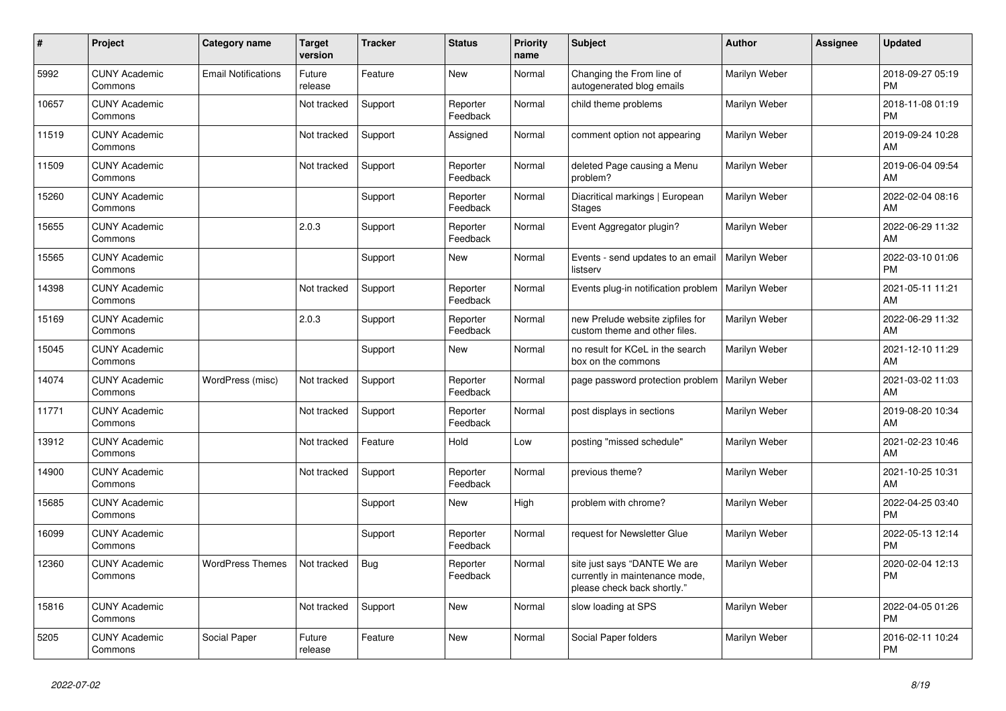| #     | Project                         | Category name              | <b>Target</b><br>version | <b>Tracker</b> | <b>Status</b>        | <b>Priority</b><br>name | <b>Subject</b>                                                                                | <b>Author</b> | <b>Assignee</b> | <b>Updated</b>                |
|-------|---------------------------------|----------------------------|--------------------------|----------------|----------------------|-------------------------|-----------------------------------------------------------------------------------------------|---------------|-----------------|-------------------------------|
| 5992  | <b>CUNY Academic</b><br>Commons | <b>Email Notifications</b> | Future<br>release        | Feature        | New                  | Normal                  | Changing the From line of<br>autogenerated blog emails                                        | Marilyn Weber |                 | 2018-09-27 05:19<br><b>PM</b> |
| 10657 | <b>CUNY Academic</b><br>Commons |                            | Not tracked              | Support        | Reporter<br>Feedback | Normal                  | child theme problems                                                                          | Marilyn Weber |                 | 2018-11-08 01:19<br><b>PM</b> |
| 11519 | <b>CUNY Academic</b><br>Commons |                            | Not tracked              | Support        | Assigned             | Normal                  | comment option not appearing                                                                  | Marilyn Weber |                 | 2019-09-24 10:28<br>AM        |
| 11509 | <b>CUNY Academic</b><br>Commons |                            | Not tracked              | Support        | Reporter<br>Feedback | Normal                  | deleted Page causing a Menu<br>problem?                                                       | Marilyn Weber |                 | 2019-06-04 09:54<br>AM        |
| 15260 | <b>CUNY Academic</b><br>Commons |                            |                          | Support        | Reporter<br>Feedback | Normal                  | Diacritical markings   European<br>Stages                                                     | Marilyn Weber |                 | 2022-02-04 08:16<br>AM        |
| 15655 | <b>CUNY Academic</b><br>Commons |                            | 2.0.3                    | Support        | Reporter<br>Feedback | Normal                  | Event Aggregator plugin?                                                                      | Marilyn Weber |                 | 2022-06-29 11:32<br>AM        |
| 15565 | <b>CUNY Academic</b><br>Commons |                            |                          | Support        | New                  | Normal                  | Events - send updates to an email<br>listserv                                                 | Marilyn Weber |                 | 2022-03-10 01:06<br><b>PM</b> |
| 14398 | <b>CUNY Academic</b><br>Commons |                            | Not tracked              | Support        | Reporter<br>Feedback | Normal                  | Events plug-in notification problem                                                           | Marilyn Weber |                 | 2021-05-11 11:21<br>AM        |
| 15169 | <b>CUNY Academic</b><br>Commons |                            | 2.0.3                    | Support        | Reporter<br>Feedback | Normal                  | new Prelude website zipfiles for<br>custom theme and other files.                             | Marilyn Weber |                 | 2022-06-29 11:32<br>AM        |
| 15045 | <b>CUNY Academic</b><br>Commons |                            |                          | Support        | New                  | Normal                  | no result for KCeL in the search<br>box on the commons                                        | Marilyn Weber |                 | 2021-12-10 11:29<br>AM        |
| 14074 | <b>CUNY Academic</b><br>Commons | WordPress (misc)           | Not tracked              | Support        | Reporter<br>Feedback | Normal                  | page password protection problem                                                              | Marilyn Weber |                 | 2021-03-02 11:03<br>AM        |
| 11771 | <b>CUNY Academic</b><br>Commons |                            | Not tracked              | Support        | Reporter<br>Feedback | Normal                  | post displays in sections                                                                     | Marilyn Weber |                 | 2019-08-20 10:34<br>AM        |
| 13912 | <b>CUNY Academic</b><br>Commons |                            | Not tracked              | Feature        | Hold                 | Low                     | posting "missed schedule"                                                                     | Marilyn Weber |                 | 2021-02-23 10:46<br>AM        |
| 14900 | <b>CUNY Academic</b><br>Commons |                            | Not tracked              | Support        | Reporter<br>Feedback | Normal                  | previous theme?                                                                               | Marilyn Weber |                 | 2021-10-25 10:31<br>AM        |
| 15685 | <b>CUNY Academic</b><br>Commons |                            |                          | Support        | New                  | High                    | problem with chrome?                                                                          | Marilyn Weber |                 | 2022-04-25 03:40<br><b>PM</b> |
| 16099 | <b>CUNY Academic</b><br>Commons |                            |                          | Support        | Reporter<br>Feedback | Normal                  | request for Newsletter Glue                                                                   | Marilyn Weber |                 | 2022-05-13 12:14<br><b>PM</b> |
| 12360 | <b>CUNY Academic</b><br>Commons | <b>WordPress Themes</b>    | Not tracked              | <b>Bug</b>     | Reporter<br>Feedback | Normal                  | site just says "DANTE We are<br>currently in maintenance mode,<br>please check back shortly." | Marilyn Weber |                 | 2020-02-04 12:13<br><b>PM</b> |
| 15816 | <b>CUNY Academic</b><br>Commons |                            | Not tracked              | Support        | New                  | Normal                  | slow loading at SPS                                                                           | Marilyn Weber |                 | 2022-04-05 01:26<br><b>PM</b> |
| 5205  | <b>CUNY Academic</b><br>Commons | Social Paper               | Future<br>release        | Feature        | <b>New</b>           | Normal                  | Social Paper folders                                                                          | Marilyn Weber |                 | 2016-02-11 10:24<br><b>PM</b> |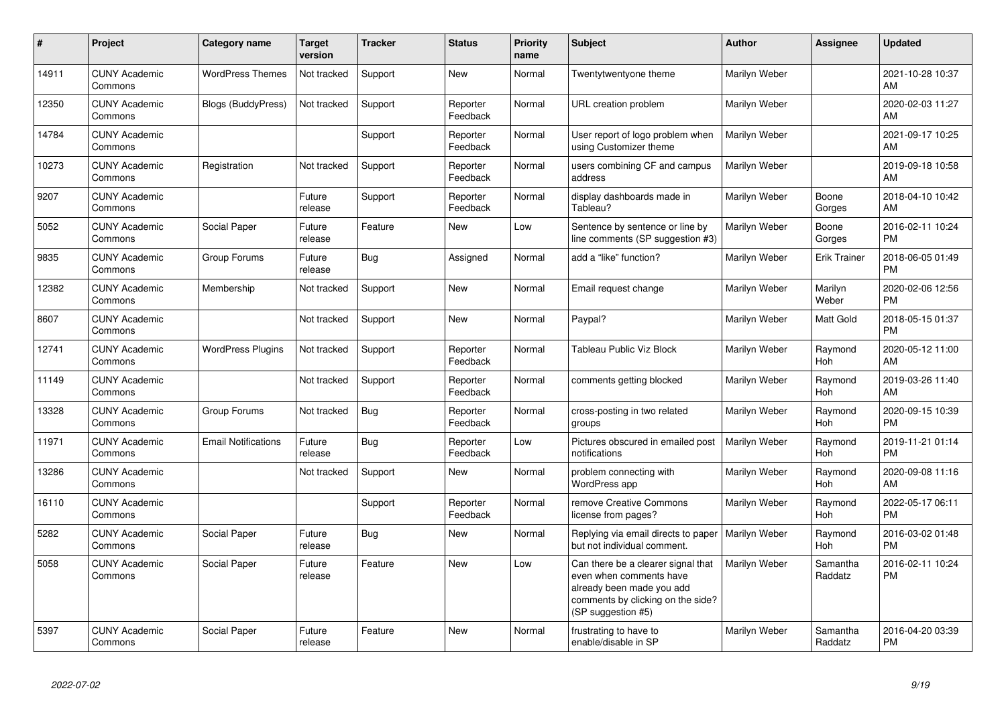| #     | Project                         | <b>Category name</b>       | <b>Target</b><br>version | <b>Tracker</b> | <b>Status</b>        | Priority<br>name | <b>Subject</b>                                                                                                                                        | <b>Author</b> | <b>Assignee</b>     | <b>Updated</b>                |
|-------|---------------------------------|----------------------------|--------------------------|----------------|----------------------|------------------|-------------------------------------------------------------------------------------------------------------------------------------------------------|---------------|---------------------|-------------------------------|
| 14911 | <b>CUNY Academic</b><br>Commons | <b>WordPress Themes</b>    | Not tracked              | Support        | New                  | Normal           | Twentytwentyone theme                                                                                                                                 | Marilyn Weber |                     | 2021-10-28 10:37<br>AM        |
| 12350 | <b>CUNY Academic</b><br>Commons | <b>Blogs (BuddyPress)</b>  | Not tracked              | Support        | Reporter<br>Feedback | Normal           | URL creation problem                                                                                                                                  | Marilyn Weber |                     | 2020-02-03 11:27<br>AM        |
| 14784 | <b>CUNY Academic</b><br>Commons |                            |                          | Support        | Reporter<br>Feedback | Normal           | User report of logo problem when<br>using Customizer theme                                                                                            | Marilyn Weber |                     | 2021-09-17 10:25<br>AM        |
| 10273 | <b>CUNY Academic</b><br>Commons | Registration               | Not tracked              | Support        | Reporter<br>Feedback | Normal           | users combining CF and campus<br>address                                                                                                              | Marilyn Weber |                     | 2019-09-18 10:58<br>AM        |
| 9207  | <b>CUNY Academic</b><br>Commons |                            | Future<br>release        | Support        | Reporter<br>Feedback | Normal           | display dashboards made in<br>Tableau?                                                                                                                | Marilyn Weber | Boone<br>Gorges     | 2018-04-10 10:42<br>AM        |
| 5052  | <b>CUNY Academic</b><br>Commons | Social Paper               | Future<br>release        | Feature        | <b>New</b>           | Low              | Sentence by sentence or line by<br>line comments (SP suggestion #3)                                                                                   | Marilyn Weber | Boone<br>Gorges     | 2016-02-11 10:24<br><b>PM</b> |
| 9835  | <b>CUNY Academic</b><br>Commons | Group Forums               | Future<br>release        | Bug            | Assigned             | Normal           | add a "like" function?                                                                                                                                | Marilyn Weber | <b>Erik Trainer</b> | 2018-06-05 01:49<br><b>PM</b> |
| 12382 | <b>CUNY Academic</b><br>Commons | Membership                 | Not tracked              | Support        | <b>New</b>           | Normal           | Email request change                                                                                                                                  | Marilyn Weber | Marilyn<br>Weber    | 2020-02-06 12:56<br><b>PM</b> |
| 8607  | <b>CUNY Academic</b><br>Commons |                            | Not tracked              | Support        | New                  | Normal           | Paypal?                                                                                                                                               | Marilyn Weber | Matt Gold           | 2018-05-15 01:37<br><b>PM</b> |
| 12741 | <b>CUNY Academic</b><br>Commons | <b>WordPress Plugins</b>   | Not tracked              | Support        | Reporter<br>Feedback | Normal           | <b>Tableau Public Viz Block</b>                                                                                                                       | Marilyn Weber | Raymond<br>Hoh      | 2020-05-12 11:00<br>AM        |
| 11149 | <b>CUNY Academic</b><br>Commons |                            | Not tracked              | Support        | Reporter<br>Feedback | Normal           | comments getting blocked                                                                                                                              | Marilyn Weber | Raymond<br>Hoh      | 2019-03-26 11:40<br>AM        |
| 13328 | <b>CUNY Academic</b><br>Commons | Group Forums               | Not tracked              | Bug            | Reporter<br>Feedback | Normal           | cross-posting in two related<br>groups                                                                                                                | Marilyn Weber | Raymond<br>Hoh      | 2020-09-15 10:39<br><b>PM</b> |
| 11971 | <b>CUNY Academic</b><br>Commons | <b>Email Notifications</b> | Future<br>release        | Bug            | Reporter<br>Feedback | Low              | Pictures obscured in emailed post<br>notifications                                                                                                    | Marilyn Weber | Raymond<br>Hoh      | 2019-11-21 01:14<br><b>PM</b> |
| 13286 | <b>CUNY Academic</b><br>Commons |                            | Not tracked              | Support        | New                  | Normal           | problem connecting with<br>WordPress app                                                                                                              | Marilyn Weber | Raymond<br>Hoh      | 2020-09-08 11:16<br>AM        |
| 16110 | <b>CUNY Academic</b><br>Commons |                            |                          | Support        | Reporter<br>Feedback | Normal           | remove Creative Commons<br>license from pages?                                                                                                        | Marilyn Weber | Raymond<br>Hoh      | 2022-05-17 06:11<br><b>PM</b> |
| 5282  | <b>CUNY Academic</b><br>Commons | Social Paper               | Future<br>release        | Bug            | New                  | Normal           | Replying via email directs to paper<br>but not individual comment.                                                                                    | Marilyn Weber | Raymond<br>Hoh      | 2016-03-02 01:48<br><b>PM</b> |
| 5058  | <b>CUNY Academic</b><br>Commons | Social Paper               | Future<br>release        | Feature        | New                  | Low              | Can there be a clearer signal that<br>even when comments have<br>already been made you add<br>comments by clicking on the side?<br>(SP suggestion #5) | Marilyn Weber | Samantha<br>Raddatz | 2016-02-11 10:24<br><b>PM</b> |
| 5397  | <b>CUNY Academic</b><br>Commons | Social Paper               | Future<br>release        | Feature        | <b>New</b>           | Normal           | frustrating to have to<br>enable/disable in SP                                                                                                        | Marilyn Weber | Samantha<br>Raddatz | 2016-04-20 03:39<br><b>PM</b> |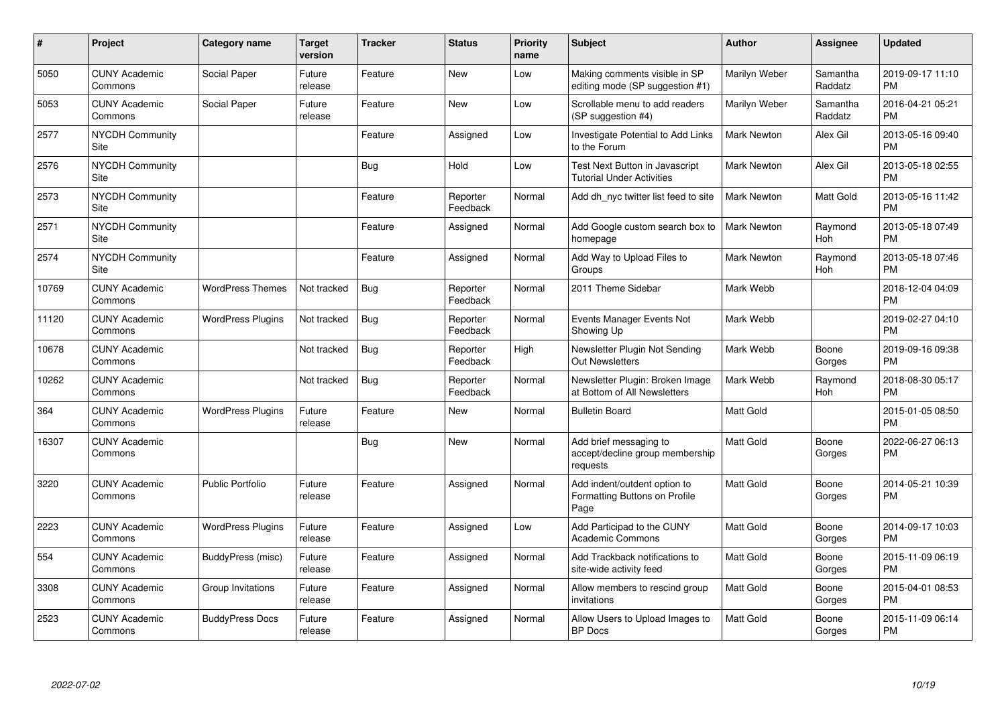| $\vert$ # | Project                               | Category name            | <b>Target</b><br>version | <b>Tracker</b> | <b>Status</b>        | <b>Priority</b><br>name | <b>Subject</b>                                                        | Author             | <b>Assignee</b>     | <b>Updated</b>                |
|-----------|---------------------------------------|--------------------------|--------------------------|----------------|----------------------|-------------------------|-----------------------------------------------------------------------|--------------------|---------------------|-------------------------------|
| 5050      | <b>CUNY Academic</b><br>Commons       | Social Paper             | Future<br>release        | Feature        | New                  | Low                     | Making comments visible in SP<br>editing mode (SP suggestion #1)      | Marilyn Weber      | Samantha<br>Raddatz | 2019-09-17 11:10<br><b>PM</b> |
| 5053      | <b>CUNY Academic</b><br>Commons       | Social Paper             | Future<br>release        | Feature        | <b>New</b>           | Low                     | Scrollable menu to add readers<br>(SP suggestion #4)                  | Marilyn Weber      | Samantha<br>Raddatz | 2016-04-21 05:21<br><b>PM</b> |
| 2577      | <b>NYCDH Community</b><br>Site        |                          |                          | Feature        | Assigned             | Low                     | Investigate Potential to Add Links<br>to the Forum                    | Mark Newton        | Alex Gil            | 2013-05-16 09:40<br><b>PM</b> |
| 2576      | <b>NYCDH Community</b><br>Site        |                          |                          | Bug            | Hold                 | Low                     | Test Next Button in Javascript<br><b>Tutorial Under Activities</b>    | <b>Mark Newton</b> | Alex Gil            | 2013-05-18 02:55<br><b>PM</b> |
| 2573      | <b>NYCDH Community</b><br><b>Site</b> |                          |                          | Feature        | Reporter<br>Feedback | Normal                  | Add dh_nyc twitter list feed to site                                  | <b>Mark Newton</b> | Matt Gold           | 2013-05-16 11:42<br><b>PM</b> |
| 2571      | <b>NYCDH Community</b><br>Site        |                          |                          | Feature        | Assigned             | Normal                  | Add Google custom search box to<br>homepage                           | Mark Newton        | Raymond<br>Hoh      | 2013-05-18 07:49<br><b>PM</b> |
| 2574      | <b>NYCDH Community</b><br>Site        |                          |                          | Feature        | Assigned             | Normal                  | Add Way to Upload Files to<br>Groups                                  | <b>Mark Newton</b> | Raymond<br>Hoh      | 2013-05-18 07:46<br><b>PM</b> |
| 10769     | <b>CUNY Academic</b><br>Commons       | <b>WordPress Themes</b>  | Not tracked              | <b>Bug</b>     | Reporter<br>Feedback | Normal                  | 2011 Theme Sidebar                                                    | Mark Webb          |                     | 2018-12-04 04:09<br><b>PM</b> |
| 11120     | <b>CUNY Academic</b><br>Commons       | <b>WordPress Plugins</b> | Not tracked              | <b>Bug</b>     | Reporter<br>Feedback | Normal                  | Events Manager Events Not<br>Showing Up                               | Mark Webb          |                     | 2019-02-27 04:10<br><b>PM</b> |
| 10678     | <b>CUNY Academic</b><br>Commons       |                          | Not tracked              | <b>Bug</b>     | Reporter<br>Feedback | High                    | Newsletter Plugin Not Sending<br><b>Out Newsletters</b>               | Mark Webb          | Boone<br>Gorges     | 2019-09-16 09:38<br><b>PM</b> |
| 10262     | <b>CUNY Academic</b><br>Commons       |                          | Not tracked              | Bug            | Reporter<br>Feedback | Normal                  | Newsletter Plugin: Broken Image<br>at Bottom of All Newsletters       | Mark Webb          | Raymond<br>Hoh      | 2018-08-30 05:17<br><b>PM</b> |
| 364       | <b>CUNY Academic</b><br>Commons       | <b>WordPress Plugins</b> | Future<br>release        | Feature        | <b>New</b>           | Normal                  | <b>Bulletin Board</b>                                                 | <b>Matt Gold</b>   |                     | 2015-01-05 08:50<br><b>PM</b> |
| 16307     | <b>CUNY Academic</b><br>Commons       |                          |                          | Bug            | <b>New</b>           | Normal                  | Add brief messaging to<br>accept/decline group membership<br>requests | Matt Gold          | Boone<br>Gorges     | 2022-06-27 06:13<br><b>PM</b> |
| 3220      | <b>CUNY Academic</b><br>Commons       | <b>Public Portfolio</b>  | Future<br>release        | Feature        | Assigned             | Normal                  | Add indent/outdent option to<br>Formatting Buttons on Profile<br>Page | <b>Matt Gold</b>   | Boone<br>Gorges     | 2014-05-21 10:39<br><b>PM</b> |
| 2223      | <b>CUNY Academic</b><br>Commons       | <b>WordPress Plugins</b> | Future<br>release        | Feature        | Assigned             | Low                     | Add Participad to the CUNY<br>Academic Commons                        | <b>Matt Gold</b>   | Boone<br>Gorges     | 2014-09-17 10:03<br><b>PM</b> |
| 554       | <b>CUNY Academic</b><br>Commons       | BuddyPress (misc)        | Future<br>release        | Feature        | Assigned             | Normal                  | Add Trackback notifications to<br>site-wide activity feed             | <b>Matt Gold</b>   | Boone<br>Gorges     | 2015-11-09 06:19<br><b>PM</b> |
| 3308      | <b>CUNY Academic</b><br>Commons       | Group Invitations        | Future<br>release        | Feature        | Assigned             | Normal                  | Allow members to rescind group<br>invitations                         | <b>Matt Gold</b>   | Boone<br>Gorges     | 2015-04-01 08:53<br><b>PM</b> |
| 2523      | <b>CUNY Academic</b><br>Commons       | <b>BuddyPress Docs</b>   | Future<br>release        | Feature        | Assigned             | Normal                  | Allow Users to Upload Images to<br><b>BP</b> Docs                     | <b>Matt Gold</b>   | Boone<br>Gorges     | 2015-11-09 06:14<br><b>PM</b> |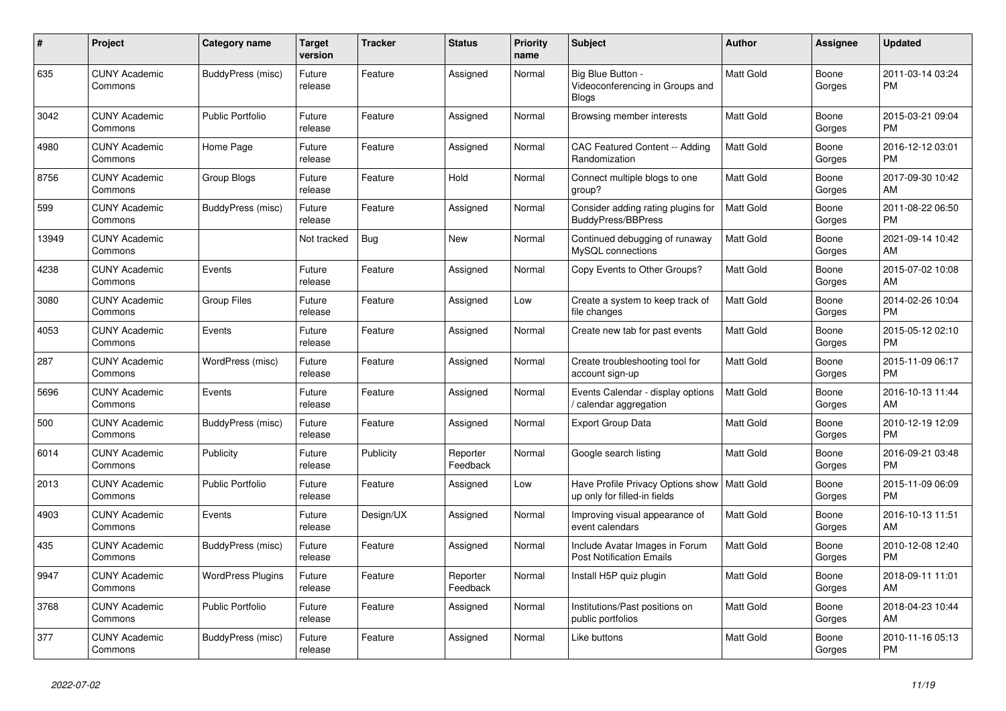| #     | Project                         | <b>Category name</b>     | <b>Target</b><br>version | <b>Tracker</b> | <b>Status</b>        | <b>Priority</b><br>name | <b>Subject</b>                                                       | <b>Author</b>    | Assignee        | <b>Updated</b>                |
|-------|---------------------------------|--------------------------|--------------------------|----------------|----------------------|-------------------------|----------------------------------------------------------------------|------------------|-----------------|-------------------------------|
| 635   | <b>CUNY Academic</b><br>Commons | <b>BuddyPress (misc)</b> | Future<br>release        | Feature        | Assigned             | Normal                  | Big Blue Button -<br>Videoconferencing in Groups and<br><b>Blogs</b> | <b>Matt Gold</b> | Boone<br>Gorges | 2011-03-14 03:24<br><b>PM</b> |
| 3042  | <b>CUNY Academic</b><br>Commons | <b>Public Portfolio</b>  | Future<br>release        | Feature        | Assigned             | Normal                  | Browsing member interests                                            | <b>Matt Gold</b> | Boone<br>Gorges | 2015-03-21 09:04<br><b>PM</b> |
| 4980  | <b>CUNY Academic</b><br>Commons | Home Page                | Future<br>release        | Feature        | Assigned             | Normal                  | <b>CAC Featured Content -- Adding</b><br>Randomization               | Matt Gold        | Boone<br>Gorges | 2016-12-12 03:01<br><b>PM</b> |
| 8756  | <b>CUNY Academic</b><br>Commons | Group Blogs              | Future<br>release        | Feature        | Hold                 | Normal                  | Connect multiple blogs to one<br>group?                              | <b>Matt Gold</b> | Boone<br>Gorges | 2017-09-30 10:42<br>AM        |
| 599   | <b>CUNY Academic</b><br>Commons | BuddyPress (misc)        | Future<br>release        | Feature        | Assigned             | Normal                  | Consider adding rating plugins for<br><b>BuddyPress/BBPress</b>      | Matt Gold        | Boone<br>Gorges | 2011-08-22 06:50<br><b>PM</b> |
| 13949 | <b>CUNY Academic</b><br>Commons |                          | Not tracked              | Bug            | <b>New</b>           | Normal                  | Continued debugging of runaway<br>MySQL connections                  | <b>Matt Gold</b> | Boone<br>Gorges | 2021-09-14 10:42<br>AM        |
| 4238  | <b>CUNY Academic</b><br>Commons | Events                   | Future<br>release        | Feature        | Assigned             | Normal                  | Copy Events to Other Groups?                                         | Matt Gold        | Boone<br>Gorges | 2015-07-02 10:08<br>AM        |
| 3080  | <b>CUNY Academic</b><br>Commons | <b>Group Files</b>       | Future<br>release        | Feature        | Assigned             | Low                     | Create a system to keep track of<br>file changes                     | <b>Matt Gold</b> | Boone<br>Gorges | 2014-02-26 10:04<br><b>PM</b> |
| 4053  | <b>CUNY Academic</b><br>Commons | Events                   | Future<br>release        | Feature        | Assigned             | Normal                  | Create new tab for past events                                       | <b>Matt Gold</b> | Boone<br>Gorges | 2015-05-12 02:10<br><b>PM</b> |
| 287   | <b>CUNY Academic</b><br>Commons | WordPress (misc)         | Future<br>release        | Feature        | Assigned             | Normal                  | Create troubleshooting tool for<br>account sign-up                   | <b>Matt Gold</b> | Boone<br>Gorges | 2015-11-09 06:17<br><b>PM</b> |
| 5696  | <b>CUNY Academic</b><br>Commons | Events                   | Future<br>release        | Feature        | Assigned             | Normal                  | Events Calendar - display options<br>/ calendar aggregation          | <b>Matt Gold</b> | Boone<br>Gorges | 2016-10-13 11:44<br>AM        |
| 500   | <b>CUNY Academic</b><br>Commons | BuddyPress (misc)        | Future<br>release        | Feature        | Assigned             | Normal                  | <b>Export Group Data</b>                                             | Matt Gold        | Boone<br>Gorges | 2010-12-19 12:09<br><b>PM</b> |
| 6014  | <b>CUNY Academic</b><br>Commons | Publicity                | Future<br>release        | Publicity      | Reporter<br>Feedback | Normal                  | Google search listing                                                | <b>Matt Gold</b> | Boone<br>Gorges | 2016-09-21 03:48<br><b>PM</b> |
| 2013  | <b>CUNY Academic</b><br>Commons | <b>Public Portfolio</b>  | Future<br>release        | Feature        | Assigned             | Low                     | Have Profile Privacy Options show<br>up only for filled-in fields    | Matt Gold        | Boone<br>Gorges | 2015-11-09 06:09<br><b>PM</b> |
| 4903  | <b>CUNY Academic</b><br>Commons | Events                   | Future<br>release        | Design/UX      | Assigned             | Normal                  | Improving visual appearance of<br>event calendars                    | <b>Matt Gold</b> | Boone<br>Gorges | 2016-10-13 11:51<br>AM        |
| 435   | <b>CUNY Academic</b><br>Commons | BuddyPress (misc)        | Future<br>release        | Feature        | Assigned             | Normal                  | Include Avatar Images in Forum<br><b>Post Notification Emails</b>    | <b>Matt Gold</b> | Boone<br>Gorges | 2010-12-08 12:40<br><b>PM</b> |
| 9947  | <b>CUNY Academic</b><br>Commons | <b>WordPress Plugins</b> | Future<br>release        | Feature        | Reporter<br>Feedback | Normal                  | Install H5P quiz plugin                                              | Matt Gold        | Boone<br>Gorges | 2018-09-11 11:01<br>AM        |
| 3768  | <b>CUNY Academic</b><br>Commons | <b>Public Portfolio</b>  | Future<br>release        | Feature        | Assigned             | Normal                  | Institutions/Past positions on<br>public portfolios                  | <b>Matt Gold</b> | Boone<br>Gorges | 2018-04-23 10:44<br>AM        |
| 377   | <b>CUNY Academic</b><br>Commons | BuddyPress (misc)        | Future<br>release        | Feature        | Assigned             | Normal                  | Like buttons                                                         | Matt Gold        | Boone<br>Gorges | 2010-11-16 05:13<br>PM        |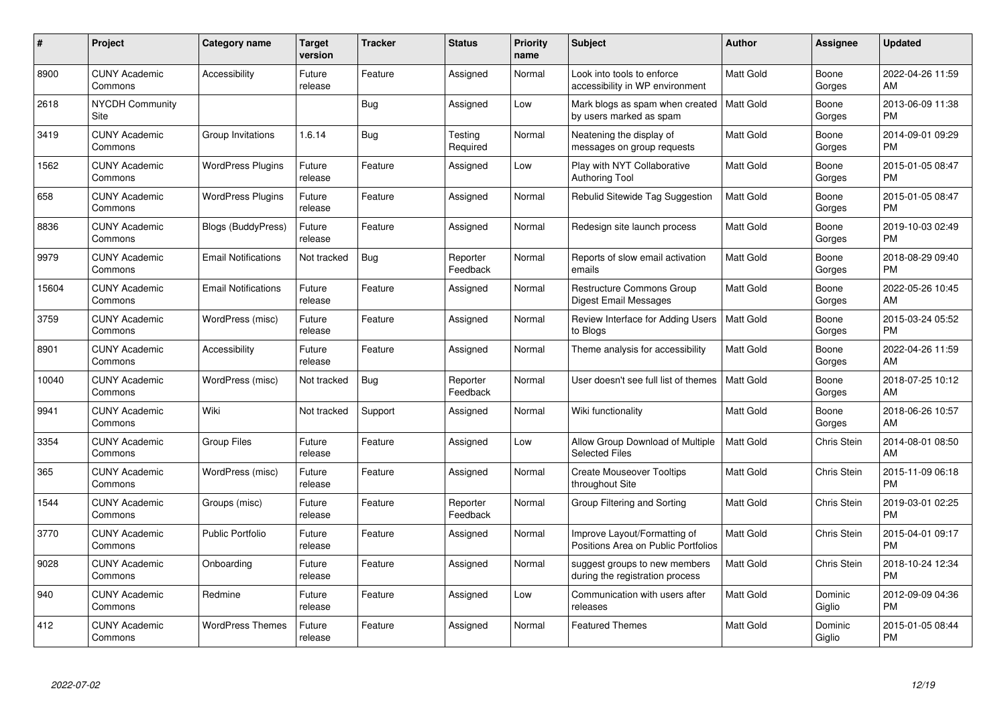| #     | Project                         | <b>Category name</b>       | <b>Target</b><br>version | <b>Tracker</b> | <b>Status</b>        | Priority<br>name | <b>Subject</b>                                                      | <b>Author</b>    | <b>Assignee</b>    | <b>Updated</b>                |
|-------|---------------------------------|----------------------------|--------------------------|----------------|----------------------|------------------|---------------------------------------------------------------------|------------------|--------------------|-------------------------------|
| 8900  | <b>CUNY Academic</b><br>Commons | Accessibility              | Future<br>release        | Feature        | Assigned             | Normal           | Look into tools to enforce<br>accessibility in WP environment       | <b>Matt Gold</b> | Boone<br>Gorges    | 2022-04-26 11:59<br>AM        |
| 2618  | <b>NYCDH Community</b><br>Site  |                            |                          | Bug            | Assigned             | Low              | Mark blogs as spam when created<br>by users marked as spam          | <b>Matt Gold</b> | Boone<br>Gorges    | 2013-06-09 11:38<br><b>PM</b> |
| 3419  | <b>CUNY Academic</b><br>Commons | Group Invitations          | 1.6.14                   | Bug            | Testing<br>Required  | Normal           | Neatening the display of<br>messages on group requests              | Matt Gold        | Boone<br>Gorges    | 2014-09-01 09:29<br><b>PM</b> |
| 1562  | <b>CUNY Academic</b><br>Commons | <b>WordPress Plugins</b>   | Future<br>release        | Feature        | Assigned             | Low              | Play with NYT Collaborative<br><b>Authoring Tool</b>                | <b>Matt Gold</b> | Boone<br>Gorges    | 2015-01-05 08:47<br><b>PM</b> |
| 658   | <b>CUNY Academic</b><br>Commons | <b>WordPress Plugins</b>   | Future<br>release        | Feature        | Assigned             | Normal           | Rebulid Sitewide Tag Suggestion                                     | <b>Matt Gold</b> | Boone<br>Gorges    | 2015-01-05 08:47<br><b>PM</b> |
| 8836  | <b>CUNY Academic</b><br>Commons | <b>Blogs (BuddyPress)</b>  | Future<br>release        | Feature        | Assigned             | Normal           | Redesign site launch process                                        | <b>Matt Gold</b> | Boone<br>Gorges    | 2019-10-03 02:49<br><b>PM</b> |
| 9979  | <b>CUNY Academic</b><br>Commons | <b>Email Notifications</b> | Not tracked              | Bug            | Reporter<br>Feedback | Normal           | Reports of slow email activation<br>emails                          | Matt Gold        | Boone<br>Gorges    | 2018-08-29 09:40<br><b>PM</b> |
| 15604 | <b>CUNY Academic</b><br>Commons | <b>Email Notifications</b> | Future<br>release        | Feature        | Assigned             | Normal           | <b>Restructure Commons Group</b><br>Digest Email Messages           | <b>Matt Gold</b> | Boone<br>Gorges    | 2022-05-26 10:45<br>AM        |
| 3759  | <b>CUNY Academic</b><br>Commons | WordPress (misc)           | Future<br>release        | Feature        | Assigned             | Normal           | Review Interface for Adding Users<br>to Blogs                       | <b>Matt Gold</b> | Boone<br>Gorges    | 2015-03-24 05:52<br><b>PM</b> |
| 8901  | <b>CUNY Academic</b><br>Commons | Accessibility              | Future<br>release        | Feature        | Assigned             | Normal           | Theme analysis for accessibility                                    | <b>Matt Gold</b> | Boone<br>Gorges    | 2022-04-26 11:59<br>AM        |
| 10040 | <b>CUNY Academic</b><br>Commons | WordPress (misc)           | Not tracked              | Bug            | Reporter<br>Feedback | Normal           | User doesn't see full list of themes                                | <b>Matt Gold</b> | Boone<br>Gorges    | 2018-07-25 10:12<br>AM        |
| 9941  | <b>CUNY Academic</b><br>Commons | Wiki                       | Not tracked              | Support        | Assigned             | Normal           | Wiki functionality                                                  | Matt Gold        | Boone<br>Gorges    | 2018-06-26 10:57<br>AM        |
| 3354  | <b>CUNY Academic</b><br>Commons | <b>Group Files</b>         | Future<br>release        | Feature        | Assigned             | Low              | Allow Group Download of Multiple<br><b>Selected Files</b>           | Matt Gold        | Chris Stein        | 2014-08-01 08:50<br>AM        |
| 365   | <b>CUNY Academic</b><br>Commons | WordPress (misc)           | Future<br>release        | Feature        | Assigned             | Normal           | <b>Create Mouseover Tooltips</b><br>throughout Site                 | Matt Gold        | Chris Stein        | 2015-11-09 06:18<br><b>PM</b> |
| 1544  | <b>CUNY Academic</b><br>Commons | Groups (misc)              | Future<br>release        | Feature        | Reporter<br>Feedback | Normal           | Group Filtering and Sorting                                         | Matt Gold        | Chris Stein        | 2019-03-01 02:25<br><b>PM</b> |
| 3770  | <b>CUNY Academic</b><br>Commons | <b>Public Portfolio</b>    | Future<br>release        | Feature        | Assigned             | Normal           | Improve Layout/Formatting of<br>Positions Area on Public Portfolios | <b>Matt Gold</b> | Chris Stein        | 2015-04-01 09:17<br><b>PM</b> |
| 9028  | <b>CUNY Academic</b><br>Commons | Onboarding                 | Future<br>release        | Feature        | Assigned             | Normal           | suggest groups to new members<br>during the registration process    | <b>Matt Gold</b> | <b>Chris Stein</b> | 2018-10-24 12:34<br><b>PM</b> |
| 940   | <b>CUNY Academic</b><br>Commons | Redmine                    | Future<br>release        | Feature        | Assigned             | Low              | Communication with users after<br>releases                          | Matt Gold        | Dominic<br>Giglio  | 2012-09-09 04:36<br><b>PM</b> |
| 412   | CUNY Academic<br>Commons        | <b>WordPress Themes</b>    | Future<br>release        | Feature        | Assigned             | Normal           | <b>Featured Themes</b>                                              | <b>Matt Gold</b> | Dominic<br>Giglio  | 2015-01-05 08:44<br><b>PM</b> |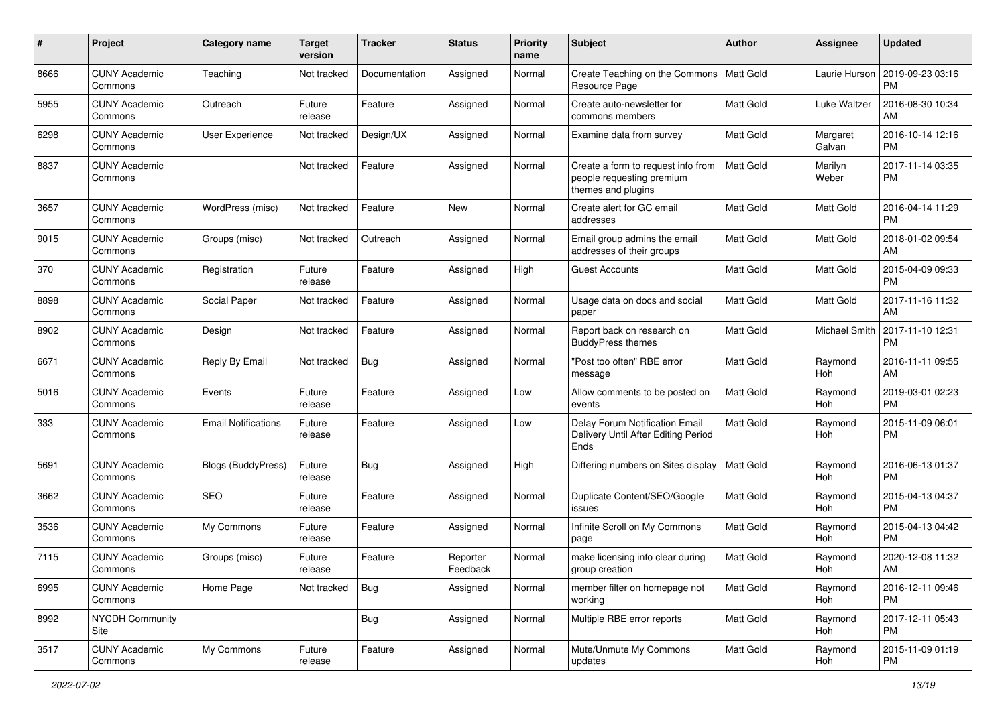| #    | Project                         | <b>Category name</b>       | <b>Target</b><br>version | <b>Tracker</b> | <b>Status</b>        | <b>Priority</b><br>name | <b>Subject</b>                                                                        | Author           | <b>Assignee</b>    | <b>Updated</b>                |
|------|---------------------------------|----------------------------|--------------------------|----------------|----------------------|-------------------------|---------------------------------------------------------------------------------------|------------------|--------------------|-------------------------------|
| 8666 | <b>CUNY Academic</b><br>Commons | Teaching                   | Not tracked              | Documentation  | Assigned             | Normal                  | Create Teaching on the Commons<br>Resource Page                                       | Matt Gold        | Laurie Hurson      | 2019-09-23 03:16<br>PM        |
| 5955 | <b>CUNY Academic</b><br>Commons | Outreach                   | Future<br>release        | Feature        | Assigned             | Normal                  | Create auto-newsletter for<br>commons members                                         | <b>Matt Gold</b> | Luke Waltzer       | 2016-08-30 10:34<br>AM        |
| 6298 | <b>CUNY Academic</b><br>Commons | <b>User Experience</b>     | Not tracked              | Design/UX      | Assigned             | Normal                  | Examine data from survey                                                              | <b>Matt Gold</b> | Margaret<br>Galvan | 2016-10-14 12:16<br><b>PM</b> |
| 8837 | <b>CUNY Academic</b><br>Commons |                            | Not tracked              | Feature        | Assigned             | Normal                  | Create a form to request info from<br>people requesting premium<br>themes and plugins | <b>Matt Gold</b> | Marilyn<br>Weber   | 2017-11-14 03:35<br>PM        |
| 3657 | <b>CUNY Academic</b><br>Commons | WordPress (misc)           | Not tracked              | Feature        | <b>New</b>           | Normal                  | Create alert for GC email<br>addresses                                                | <b>Matt Gold</b> | <b>Matt Gold</b>   | 2016-04-14 11:29<br><b>PM</b> |
| 9015 | <b>CUNY Academic</b><br>Commons | Groups (misc)              | Not tracked              | Outreach       | Assigned             | Normal                  | Email group admins the email<br>addresses of their groups                             | <b>Matt Gold</b> | <b>Matt Gold</b>   | 2018-01-02 09:54<br>AM        |
| 370  | <b>CUNY Academic</b><br>Commons | Registration               | Future<br>release        | Feature        | Assigned             | High                    | <b>Guest Accounts</b>                                                                 | <b>Matt Gold</b> | <b>Matt Gold</b>   | 2015-04-09 09:33<br><b>PM</b> |
| 8898 | <b>CUNY Academic</b><br>Commons | Social Paper               | Not tracked              | Feature        | Assigned             | Normal                  | Usage data on docs and social<br>paper                                                | Matt Gold        | <b>Matt Gold</b>   | 2017-11-16 11:32<br>AM        |
| 8902 | <b>CUNY Academic</b><br>Commons | Design                     | Not tracked              | Feature        | Assigned             | Normal                  | Report back on research on<br><b>BuddyPress themes</b>                                | <b>Matt Gold</b> | Michael Smith      | 2017-11-10 12:31<br><b>PM</b> |
| 6671 | <b>CUNY Academic</b><br>Commons | Reply By Email             | Not tracked              | Bug            | Assigned             | Normal                  | "Post too often" RBE error<br>message                                                 | Matt Gold        | Raymond<br>Hoh     | 2016-11-11 09:55<br>AM        |
| 5016 | <b>CUNY Academic</b><br>Commons | Events                     | Future<br>release        | Feature        | Assigned             | Low                     | Allow comments to be posted on<br>events                                              | Matt Gold        | Raymond<br>Hoh     | 2019-03-01 02:23<br><b>PM</b> |
| 333  | <b>CUNY Academic</b><br>Commons | <b>Email Notifications</b> | Future<br>release        | Feature        | Assigned             | Low                     | Delay Forum Notification Email<br>Delivery Until After Editing Period<br>Ends         | <b>Matt Gold</b> | Raymond<br>Hoh     | 2015-11-09 06:01<br><b>PM</b> |
| 5691 | <b>CUNY Academic</b><br>Commons | Blogs (BuddyPress)         | Future<br>release        | Bug            | Assigned             | High                    | Differing numbers on Sites display                                                    | Matt Gold        | Raymond<br>Hoh     | 2016-06-13 01:37<br><b>PM</b> |
| 3662 | <b>CUNY Academic</b><br>Commons | SEO                        | Future<br>release        | Feature        | Assigned             | Normal                  | Duplicate Content/SEO/Google<br>issues                                                | <b>Matt Gold</b> | Raymond<br>Hoh     | 2015-04-13 04:37<br><b>PM</b> |
| 3536 | <b>CUNY Academic</b><br>Commons | My Commons                 | Future<br>release        | Feature        | Assigned             | Normal                  | Infinite Scroll on My Commons<br>page                                                 | Matt Gold        | Raymond<br>Hoh     | 2015-04-13 04:42<br><b>PM</b> |
| 7115 | <b>CUNY Academic</b><br>Commons | Groups (misc)              | Future<br>release        | Feature        | Reporter<br>Feedback | Normal                  | make licensing info clear during<br>group creation                                    | Matt Gold        | Raymond<br>Hoh     | 2020-12-08 11:32<br>AM        |
| 6995 | <b>CUNY Academic</b><br>Commons | Home Page                  | Not tracked              | Bug            | Assigned             | Normal                  | member filter on homepage not<br>working                                              | Matt Gold        | Raymond<br>Hoh     | 2016-12-11 09:46<br><b>PM</b> |
| 8992 | <b>NYCDH Community</b><br>Site  |                            |                          | <b>Bug</b>     | Assigned             | Normal                  | Multiple RBE error reports                                                            | Matt Gold        | Raymond<br>Hoh     | 2017-12-11 05:43<br><b>PM</b> |
| 3517 | <b>CUNY Academic</b><br>Commons | My Commons                 | Future<br>release        | Feature        | Assigned             | Normal                  | Mute/Unmute My Commons<br>updates                                                     | Matt Gold        | Raymond<br>Hoh     | 2015-11-09 01:19<br><b>PM</b> |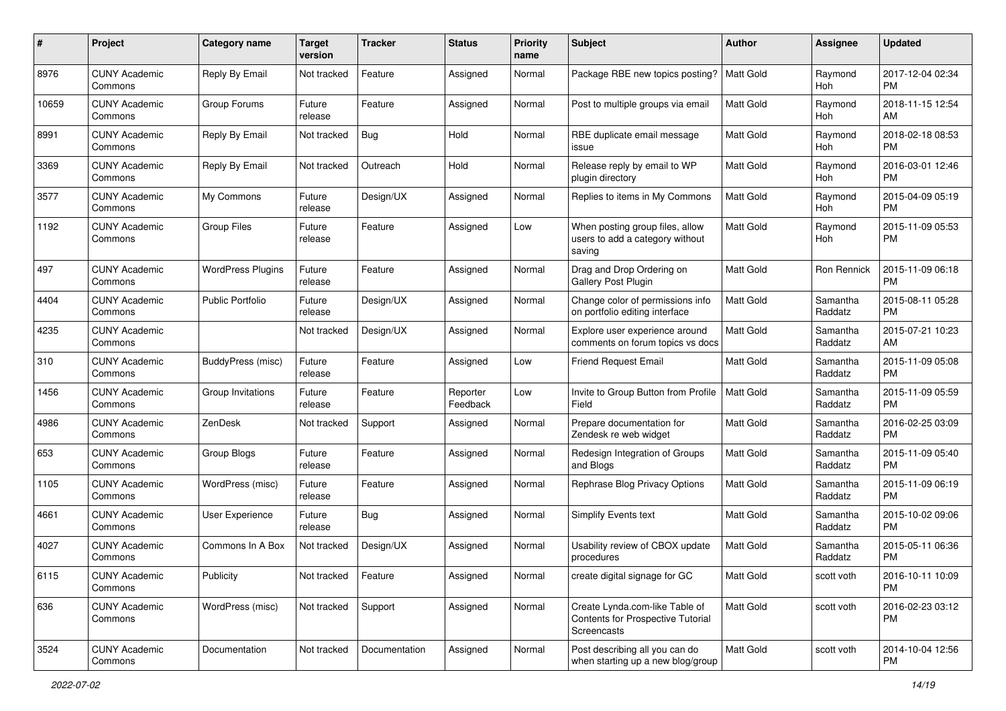| #     | Project                         | <b>Category name</b>     | <b>Target</b><br>version | <b>Tracker</b> | <b>Status</b>        | Priority<br>name | <b>Subject</b>                                                                     | Author           | <b>Assignee</b>     | <b>Updated</b>                |
|-------|---------------------------------|--------------------------|--------------------------|----------------|----------------------|------------------|------------------------------------------------------------------------------------|------------------|---------------------|-------------------------------|
| 8976  | <b>CUNY Academic</b><br>Commons | Reply By Email           | Not tracked              | Feature        | Assigned             | Normal           | Package RBE new topics posting?                                                    | <b>Matt Gold</b> | Raymond<br>Hoh      | 2017-12-04 02:34<br><b>PM</b> |
| 10659 | <b>CUNY Academic</b><br>Commons | Group Forums             | Future<br>release        | Feature        | Assigned             | Normal           | Post to multiple groups via email                                                  | <b>Matt Gold</b> | Raymond<br>Hoh      | 2018-11-15 12:54<br>AM        |
| 8991  | <b>CUNY Academic</b><br>Commons | Reply By Email           | Not tracked              | Bug            | Hold                 | Normal           | RBE duplicate email message<br>issue                                               | Matt Gold        | Raymond<br>Hoh      | 2018-02-18 08:53<br><b>PM</b> |
| 3369  | <b>CUNY Academic</b><br>Commons | Reply By Email           | Not tracked              | Outreach       | Hold                 | Normal           | Release reply by email to WP<br>plugin directory                                   | <b>Matt Gold</b> | Raymond<br>Hoh      | 2016-03-01 12:46<br><b>PM</b> |
| 3577  | <b>CUNY Academic</b><br>Commons | My Commons               | Future<br>release        | Design/UX      | Assigned             | Normal           | Replies to items in My Commons                                                     | <b>Matt Gold</b> | Raymond<br>Hoh      | 2015-04-09 05:19<br><b>PM</b> |
| 1192  | <b>CUNY Academic</b><br>Commons | <b>Group Files</b>       | Future<br>release        | Feature        | Assigned             | Low              | When posting group files, allow<br>users to add a category without<br>saving       | <b>Matt Gold</b> | Raymond<br>Hoh      | 2015-11-09 05:53<br><b>PM</b> |
| 497   | <b>CUNY Academic</b><br>Commons | <b>WordPress Plugins</b> | Future<br>release        | Feature        | Assigned             | Normal           | Drag and Drop Ordering on<br><b>Gallery Post Plugin</b>                            | Matt Gold        | Ron Rennick         | 2015-11-09 06:18<br><b>PM</b> |
| 4404  | <b>CUNY Academic</b><br>Commons | <b>Public Portfolio</b>  | Future<br>release        | Design/UX      | Assigned             | Normal           | Change color of permissions info<br>on portfolio editing interface                 | Matt Gold        | Samantha<br>Raddatz | 2015-08-11 05:28<br><b>PM</b> |
| 4235  | <b>CUNY Academic</b><br>Commons |                          | Not tracked              | Design/UX      | Assigned             | Normal           | Explore user experience around<br>comments on forum topics vs docs                 | <b>Matt Gold</b> | Samantha<br>Raddatz | 2015-07-21 10:23<br>AM        |
| 310   | <b>CUNY Academic</b><br>Commons | BuddyPress (misc)        | Future<br>release        | Feature        | Assigned             | Low              | <b>Friend Request Email</b>                                                        | <b>Matt Gold</b> | Samantha<br>Raddatz | 2015-11-09 05:08<br><b>PM</b> |
| 1456  | <b>CUNY Academic</b><br>Commons | Group Invitations        | Future<br>release        | Feature        | Reporter<br>Feedback | Low              | Invite to Group Button from Profile<br>Field                                       | <b>Matt Gold</b> | Samantha<br>Raddatz | 2015-11-09 05:59<br><b>PM</b> |
| 4986  | <b>CUNY Academic</b><br>Commons | ZenDesk                  | Not tracked              | Support        | Assigned             | Normal           | Prepare documentation for<br>Zendesk re web widget                                 | <b>Matt Gold</b> | Samantha<br>Raddatz | 2016-02-25 03:09<br><b>PM</b> |
| 653   | <b>CUNY Academic</b><br>Commons | Group Blogs              | Future<br>release        | Feature        | Assigned             | Normal           | Redesign Integration of Groups<br>and Blogs                                        | <b>Matt Gold</b> | Samantha<br>Raddatz | 2015-11-09 05:40<br><b>PM</b> |
| 1105  | <b>CUNY Academic</b><br>Commons | WordPress (misc)         | Future<br>release        | Feature        | Assigned             | Normal           | Rephrase Blog Privacy Options                                                      | Matt Gold        | Samantha<br>Raddatz | 2015-11-09 06:19<br><b>PM</b> |
| 4661  | <b>CUNY Academic</b><br>Commons | <b>User Experience</b>   | Future<br>release        | Bug            | Assigned             | Normal           | <b>Simplify Events text</b>                                                        | Matt Gold        | Samantha<br>Raddatz | 2015-10-02 09:06<br><b>PM</b> |
| 4027  | <b>CUNY Academic</b><br>Commons | Commons In A Box         | Not tracked              | Design/UX      | Assigned             | Normal           | Usability review of CBOX update<br>procedures                                      | <b>Matt Gold</b> | Samantha<br>Raddatz | 2015-05-11 06:36<br><b>PM</b> |
| 6115  | <b>CUNY Academic</b><br>Commons | Publicity                | Not tracked              | Feature        | Assigned             | Normal           | create digital signage for GC                                                      | Matt Gold        | scott voth          | 2016-10-11 10:09<br><b>PM</b> |
| 636   | <b>CUNY Academic</b><br>Commons | WordPress (misc)         | Not tracked              | Support        | Assigned             | Normal           | Create Lynda.com-like Table of<br>Contents for Prospective Tutorial<br>Screencasts | Matt Gold        | scott voth          | 2016-02-23 03:12<br><b>PM</b> |
| 3524  | <b>CUNY Academic</b><br>Commons | Documentation            | Not tracked              | Documentation  | Assigned             | Normal           | Post describing all you can do<br>when starting up a new blog/group                | Matt Gold        | scott voth          | 2014-10-04 12:56<br><b>PM</b> |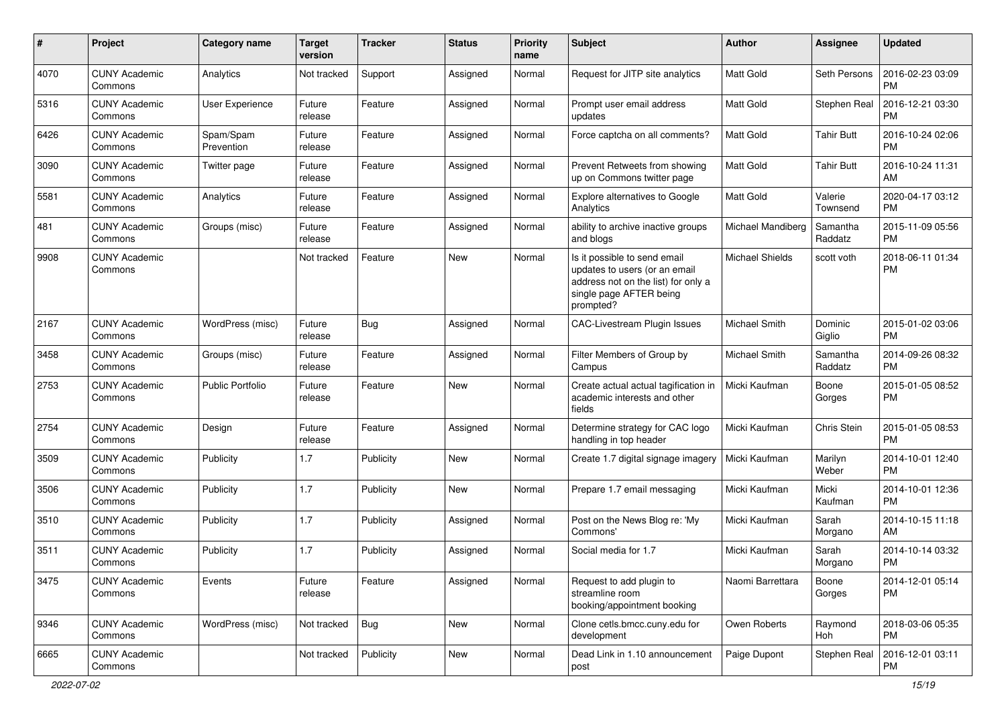| #    | Project                         | <b>Category name</b>    | <b>Target</b><br>version | <b>Tracker</b> | <b>Status</b> | Priority<br>name | <b>Subject</b>                                                                                                                               | Author                 | Assignee            | <b>Updated</b>                |
|------|---------------------------------|-------------------------|--------------------------|----------------|---------------|------------------|----------------------------------------------------------------------------------------------------------------------------------------------|------------------------|---------------------|-------------------------------|
| 4070 | <b>CUNY Academic</b><br>Commons | Analytics               | Not tracked              | Support        | Assigned      | Normal           | Request for JITP site analytics                                                                                                              | <b>Matt Gold</b>       | Seth Persons        | 2016-02-23 03:09<br>PM        |
| 5316 | <b>CUNY Academic</b><br>Commons | <b>User Experience</b>  | Future<br>release        | Feature        | Assigned      | Normal           | Prompt user email address<br>updates                                                                                                         | <b>Matt Gold</b>       | Stephen Real        | 2016-12-21 03:30<br><b>PM</b> |
| 6426 | <b>CUNY Academic</b><br>Commons | Spam/Spam<br>Prevention | Future<br>release        | Feature        | Assigned      | Normal           | Force captcha on all comments?                                                                                                               | <b>Matt Gold</b>       | <b>Tahir Butt</b>   | 2016-10-24 02:06<br><b>PM</b> |
| 3090 | <b>CUNY Academic</b><br>Commons | Twitter page            | Future<br>release        | Feature        | Assigned      | Normal           | Prevent Retweets from showing<br>up on Commons twitter page                                                                                  | <b>Matt Gold</b>       | <b>Tahir Butt</b>   | 2016-10-24 11:31<br>AM        |
| 5581 | <b>CUNY Academic</b><br>Commons | Analytics               | Future<br>release        | Feature        | Assigned      | Normal           | <b>Explore alternatives to Google</b><br>Analytics                                                                                           | <b>Matt Gold</b>       | Valerie<br>Townsend | 2020-04-17 03:12<br><b>PM</b> |
| 481  | <b>CUNY Academic</b><br>Commons | Groups (misc)           | Future<br>release        | Feature        | Assigned      | Normal           | ability to archive inactive groups<br>and blogs                                                                                              | Michael Mandiberg      | Samantha<br>Raddatz | 2015-11-09 05:56<br><b>PM</b> |
| 9908 | <b>CUNY Academic</b><br>Commons |                         | Not tracked              | Feature        | New           | Normal           | Is it possible to send email<br>updates to users (or an email<br>address not on the list) for only a<br>single page AFTER being<br>prompted? | <b>Michael Shields</b> | scott voth          | 2018-06-11 01:34<br><b>PM</b> |
| 2167 | <b>CUNY Academic</b><br>Commons | WordPress (misc)        | Future<br>release        | Bug            | Assigned      | Normal           | CAC-Livestream Plugin Issues                                                                                                                 | Michael Smith          | Dominic<br>Giglio   | 2015-01-02 03:06<br><b>PM</b> |
| 3458 | <b>CUNY Academic</b><br>Commons | Groups (misc)           | Future<br>release        | Feature        | Assigned      | Normal           | Filter Members of Group by<br>Campus                                                                                                         | Michael Smith          | Samantha<br>Raddatz | 2014-09-26 08:32<br><b>PM</b> |
| 2753 | <b>CUNY Academic</b><br>Commons | Public Portfolio        | Future<br>release        | Feature        | <b>New</b>    | Normal           | Create actual actual tagification in<br>academic interests and other<br>fields                                                               | Micki Kaufman          | Boone<br>Gorges     | 2015-01-05 08:52<br><b>PM</b> |
| 2754 | <b>CUNY Academic</b><br>Commons | Design                  | Future<br>release        | Feature        | Assigned      | Normal           | Determine strategy for CAC logo<br>handling in top header                                                                                    | Micki Kaufman          | Chris Stein         | 2015-01-05 08:53<br><b>PM</b> |
| 3509 | <b>CUNY Academic</b><br>Commons | Publicity               | 1.7                      | Publicity      | New           | Normal           | Create 1.7 digital signage imagery                                                                                                           | Micki Kaufman          | Marilyn<br>Weber    | 2014-10-01 12:40<br><b>PM</b> |
| 3506 | <b>CUNY Academic</b><br>Commons | Publicity               | 1.7                      | Publicity      | <b>New</b>    | Normal           | Prepare 1.7 email messaging                                                                                                                  | Micki Kaufman          | Micki<br>Kaufman    | 2014-10-01 12:36<br><b>PM</b> |
| 3510 | <b>CUNY Academic</b><br>Commons | Publicity               | 1.7                      | Publicity      | Assigned      | Normal           | Post on the News Blog re: 'My<br>Commons'                                                                                                    | Micki Kaufman          | Sarah<br>Morgano    | 2014-10-15 11:18<br>AM        |
| 3511 | <b>CUNY Academic</b><br>Commons | Publicity               | 1.7                      | Publicity      | Assigned      | Normal           | Social media for 1.7                                                                                                                         | Micki Kaufman          | Sarah<br>Morgano    | 2014-10-14 03:32<br><b>PM</b> |
| 3475 | <b>CUNY Academic</b><br>Commons | Events                  | Future<br>release        | Feature        | Assigned      | Normal           | Request to add plugin to<br>streamline room<br>booking/appointment booking                                                                   | Naomi Barrettara       | Boone<br>Gorges     | 2014-12-01 05:14<br><b>PM</b> |
| 9346 | <b>CUNY Academic</b><br>Commons | WordPress (misc)        | Not tracked              | Bug            | New           | Normal           | Clone cetls.bmcc.cuny.edu for<br>development                                                                                                 | Owen Roberts           | Raymond<br>Hoh      | 2018-03-06 05:35<br><b>PM</b> |
| 6665 | <b>CUNY Academic</b><br>Commons |                         | Not tracked              | Publicity      | New           | Normal           | Dead Link in 1.10 announcement<br>post                                                                                                       | Paige Dupont           | Stephen Real        | 2016-12-01 03:11<br>PM        |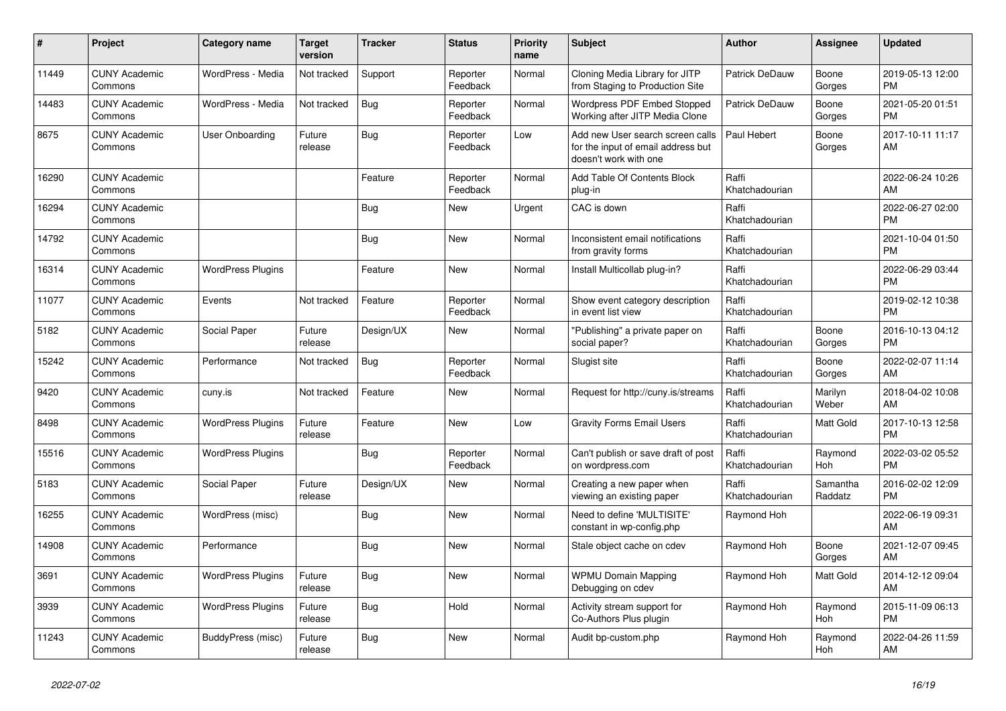| #     | Project                         | <b>Category name</b>     | <b>Target</b><br>version | <b>Tracker</b> | <b>Status</b>        | <b>Priority</b><br>name | <b>Subject</b>                                                                                  | <b>Author</b>           | Assignee            | <b>Updated</b>                |
|-------|---------------------------------|--------------------------|--------------------------|----------------|----------------------|-------------------------|-------------------------------------------------------------------------------------------------|-------------------------|---------------------|-------------------------------|
| 11449 | <b>CUNY Academic</b><br>Commons | WordPress - Media        | Not tracked              | Support        | Reporter<br>Feedback | Normal                  | Cloning Media Library for JITP<br>from Staging to Production Site                               | Patrick DeDauw          | Boone<br>Gorges     | 2019-05-13 12:00<br><b>PM</b> |
| 14483 | <b>CUNY Academic</b><br>Commons | WordPress - Media        | Not tracked              | Bug            | Reporter<br>Feedback | Normal                  | Wordpress PDF Embed Stopped<br>Working after JITP Media Clone                                   | Patrick DeDauw          | Boone<br>Gorges     | 2021-05-20 01:51<br><b>PM</b> |
| 8675  | <b>CUNY Academic</b><br>Commons | User Onboarding          | Future<br>release        | Bug            | Reporter<br>Feedback | Low                     | Add new User search screen calls<br>for the input of email address but<br>doesn't work with one | Paul Hebert             | Boone<br>Gorges     | 2017-10-11 11:17<br>AM        |
| 16290 | <b>CUNY Academic</b><br>Commons |                          |                          | Feature        | Reporter<br>Feedback | Normal                  | Add Table Of Contents Block<br>plug-in                                                          | Raffi<br>Khatchadourian |                     | 2022-06-24 10:26<br>AM        |
| 16294 | <b>CUNY Academic</b><br>Commons |                          |                          | Bug            | New                  | Urgent                  | CAC is down                                                                                     | Raffi<br>Khatchadourian |                     | 2022-06-27 02:00<br><b>PM</b> |
| 14792 | <b>CUNY Academic</b><br>Commons |                          |                          | Bug            | New                  | Normal                  | Inconsistent email notifications<br>from gravity forms                                          | Raffi<br>Khatchadourian |                     | 2021-10-04 01:50<br><b>PM</b> |
| 16314 | <b>CUNY Academic</b><br>Commons | <b>WordPress Plugins</b> |                          | Feature        | <b>New</b>           | Normal                  | Install Multicollab plug-in?                                                                    | Raffi<br>Khatchadourian |                     | 2022-06-29 03:44<br><b>PM</b> |
| 11077 | <b>CUNY Academic</b><br>Commons | Events                   | Not tracked              | Feature        | Reporter<br>Feedback | Normal                  | Show event category description<br>in event list view                                           | Raffi<br>Khatchadourian |                     | 2019-02-12 10:38<br><b>PM</b> |
| 5182  | <b>CUNY Academic</b><br>Commons | Social Paper             | Future<br>release        | Design/UX      | New                  | Normal                  | "Publishing" a private paper on<br>social paper?                                                | Raffi<br>Khatchadourian | Boone<br>Gorges     | 2016-10-13 04:12<br><b>PM</b> |
| 15242 | <b>CUNY Academic</b><br>Commons | Performance              | Not tracked              | Bug            | Reporter<br>Feedback | Normal                  | Slugist site                                                                                    | Raffi<br>Khatchadourian | Boone<br>Gorges     | 2022-02-07 11:14<br>AM        |
| 9420  | <b>CUNY Academic</b><br>Commons | cuny.is                  | Not tracked              | Feature        | New                  | Normal                  | Request for http://cuny.is/streams                                                              | Raffi<br>Khatchadourian | Marilyn<br>Weber    | 2018-04-02 10:08<br>AM        |
| 8498  | <b>CUNY Academic</b><br>Commons | <b>WordPress Plugins</b> | Future<br>release        | Feature        | <b>New</b>           | Low                     | <b>Gravity Forms Email Users</b>                                                                | Raffi<br>Khatchadourian | Matt Gold           | 2017-10-13 12:58<br><b>PM</b> |
| 15516 | <b>CUNY Academic</b><br>Commons | <b>WordPress Plugins</b> |                          | <b>Bug</b>     | Reporter<br>Feedback | Normal                  | Can't publish or save draft of post<br>on wordpress.com                                         | Raffi<br>Khatchadourian | Raymond<br>Hoh      | 2022-03-02 05:52<br><b>PM</b> |
| 5183  | <b>CUNY Academic</b><br>Commons | Social Paper             | Future<br>release        | Design/UX      | New                  | Normal                  | Creating a new paper when<br>viewing an existing paper                                          | Raffi<br>Khatchadourian | Samantha<br>Raddatz | 2016-02-02 12:09<br><b>PM</b> |
| 16255 | <b>CUNY Academic</b><br>Commons | WordPress (misc)         |                          | <b>Bug</b>     | <b>New</b>           | Normal                  | Need to define 'MULTISITE'<br>constant in wp-config.php                                         | Raymond Hoh             |                     | 2022-06-19 09:31<br>AM        |
| 14908 | <b>CUNY Academic</b><br>Commons | Performance              |                          | Bug            | <b>New</b>           | Normal                  | Stale object cache on cdev                                                                      | Raymond Hoh             | Boone<br>Gorges     | 2021-12-07 09:45<br>AM        |
| 3691  | <b>CUNY Academic</b><br>Commons | <b>WordPress Plugins</b> | Future<br>release        | Bug            | <b>New</b>           | Normal                  | <b>WPMU Domain Mapping</b><br>Debugging on cdev                                                 | Raymond Hoh             | Matt Gold           | 2014-12-12 09:04<br>AM        |
| 3939  | <b>CUNY Academic</b><br>Commons | <b>WordPress Plugins</b> | Future<br>release        | <b>Bug</b>     | Hold                 | Normal                  | Activity stream support for<br>Co-Authors Plus plugin                                           | Raymond Hoh             | Raymond<br>Hoh      | 2015-11-09 06:13<br><b>PM</b> |
| 11243 | <b>CUNY Academic</b><br>Commons | BuddyPress (misc)        | Future<br>release        | <b>Bug</b>     | <b>New</b>           | Normal                  | Audit bp-custom.php                                                                             | Raymond Hoh             | Raymond<br>Hoh      | 2022-04-26 11:59<br>AM        |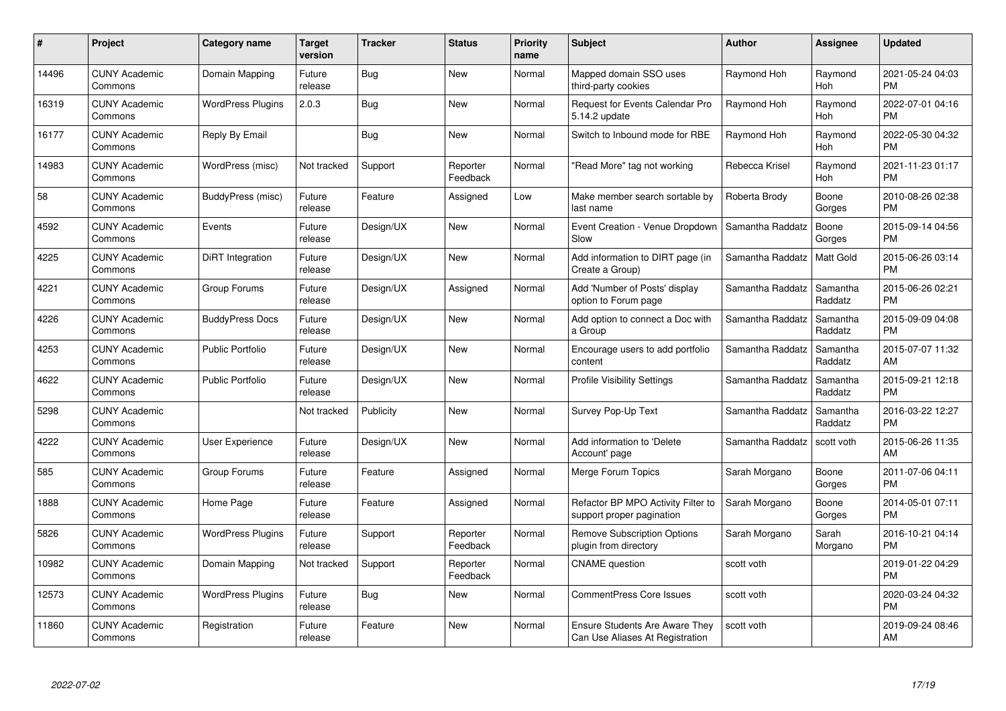| #     | Project                         | <b>Category name</b>     | <b>Target</b><br>version | <b>Tracker</b> | <b>Status</b>        | Priority<br>name | <b>Subject</b>                                                           | <b>Author</b>    | <b>Assignee</b>     | <b>Updated</b>                |
|-------|---------------------------------|--------------------------|--------------------------|----------------|----------------------|------------------|--------------------------------------------------------------------------|------------------|---------------------|-------------------------------|
| 14496 | <b>CUNY Academic</b><br>Commons | Domain Mapping           | Future<br>release        | Bug            | <b>New</b>           | Normal           | Mapped domain SSO uses<br>third-party cookies                            | Raymond Hoh      | Raymond<br>Hoh      | 2021-05-24 04:03<br><b>PM</b> |
| 16319 | <b>CUNY Academic</b><br>Commons | <b>WordPress Plugins</b> | 2.0.3                    | <b>Bug</b>     | <b>New</b>           | Normal           | Request for Events Calendar Pro<br>5.14.2 update                         | Raymond Hoh      | Raymond<br>Hoh      | 2022-07-01 04:16<br><b>PM</b> |
| 16177 | <b>CUNY Academic</b><br>Commons | Reply By Email           |                          | <b>Bug</b>     | <b>New</b>           | Normal           | Switch to Inbound mode for RBE                                           | Raymond Hoh      | Raymond<br>Hoh      | 2022-05-30 04:32<br><b>PM</b> |
| 14983 | <b>CUNY Academic</b><br>Commons | WordPress (misc)         | Not tracked              | Support        | Reporter<br>Feedback | Normal           | "Read More" tag not working                                              | Rebecca Krisel   | Raymond<br>Hoh      | 2021-11-23 01:17<br><b>PM</b> |
| 58    | <b>CUNY Academic</b><br>Commons | BuddyPress (misc)        | Future<br>release        | Feature        | Assigned             | Low              | Make member search sortable by<br>last name                              | Roberta Brody    | Boone<br>Gorges     | 2010-08-26 02:38<br><b>PM</b> |
| 4592  | <b>CUNY Academic</b><br>Commons | Events                   | Future<br>release        | Design/UX      | <b>New</b>           | Normal           | Event Creation - Venue Dropdown<br>Slow                                  | Samantha Raddatz | Boone<br>Gorges     | 2015-09-14 04:56<br><b>PM</b> |
| 4225  | <b>CUNY Academic</b><br>Commons | DiRT Integration         | Future<br>release        | Design/UX      | New                  | Normal           | Add information to DIRT page (in<br>Create a Group)                      | Samantha Raddatz | Matt Gold           | 2015-06-26 03:14<br><b>PM</b> |
| 4221  | <b>CUNY Academic</b><br>Commons | Group Forums             | Future<br>release        | Design/UX      | Assigned             | Normal           | Add 'Number of Posts' display<br>option to Forum page                    | Samantha Raddatz | Samantha<br>Raddatz | 2015-06-26 02:21<br><b>PM</b> |
| 4226  | <b>CUNY Academic</b><br>Commons | <b>BuddyPress Docs</b>   | Future<br>release        | Design/UX      | New                  | Normal           | Add option to connect a Doc with<br>a Group                              | Samantha Raddatz | Samantha<br>Raddatz | 2015-09-09 04:08<br><b>PM</b> |
| 4253  | <b>CUNY Academic</b><br>Commons | <b>Public Portfolio</b>  | Future<br>release        | Design/UX      | New                  | Normal           | Encourage users to add portfolio<br>content                              | Samantha Raddatz | Samantha<br>Raddatz | 2015-07-07 11:32<br>AM        |
| 4622  | <b>CUNY Academic</b><br>Commons | <b>Public Portfolio</b>  | Future<br>release        | Design/UX      | New                  | Normal           | <b>Profile Visibility Settings</b>                                       | Samantha Raddatz | Samantha<br>Raddatz | 2015-09-21 12:18<br><b>PM</b> |
| 5298  | <b>CUNY Academic</b><br>Commons |                          | Not tracked              | Publicity      | New                  | Normal           | Survey Pop-Up Text                                                       | Samantha Raddatz | Samantha<br>Raddatz | 2016-03-22 12:27<br><b>PM</b> |
| 4222  | <b>CUNY Academic</b><br>Commons | <b>User Experience</b>   | Future<br>release        | Design/UX      | New                  | Normal           | Add information to 'Delete<br>Account' page                              | Samantha Raddatz | scott voth          | 2015-06-26 11:35<br>AM        |
| 585   | <b>CUNY Academic</b><br>Commons | Group Forums             | Future<br>release        | Feature        | Assigned             | Normal           | Merge Forum Topics                                                       | Sarah Morgano    | Boone<br>Gorges     | 2011-07-06 04:11<br><b>PM</b> |
| 1888  | <b>CUNY Academic</b><br>Commons | Home Page                | Future<br>release        | Feature        | Assigned             | Normal           | Refactor BP MPO Activity Filter to<br>support proper pagination          | Sarah Morgano    | Boone<br>Gorges     | 2014-05-01 07:11<br><b>PM</b> |
| 5826  | <b>CUNY Academic</b><br>Commons | <b>WordPress Plugins</b> | Future<br>release        | Support        | Reporter<br>Feedback | Normal           | <b>Remove Subscription Options</b><br>plugin from directory              | Sarah Morgano    | Sarah<br>Morgano    | 2016-10-21 04:14<br><b>PM</b> |
| 10982 | <b>CUNY Academic</b><br>Commons | Domain Mapping           | Not tracked              | Support        | Reporter<br>Feedback | Normal           | <b>CNAME</b> question                                                    | scott voth       |                     | 2019-01-22 04:29<br><b>PM</b> |
| 12573 | <b>CUNY Academic</b><br>Commons | <b>WordPress Plugins</b> | Future<br>release        | Bug            | New                  | Normal           | CommentPress Core Issues                                                 | scott voth       |                     | 2020-03-24 04:32<br><b>PM</b> |
| 11860 | <b>CUNY Academic</b><br>Commons | Registration             | Future<br>release        | Feature        | <b>New</b>           | Normal           | <b>Ensure Students Are Aware They</b><br>Can Use Aliases At Registration | scott voth       |                     | 2019-09-24 08:46<br>AM        |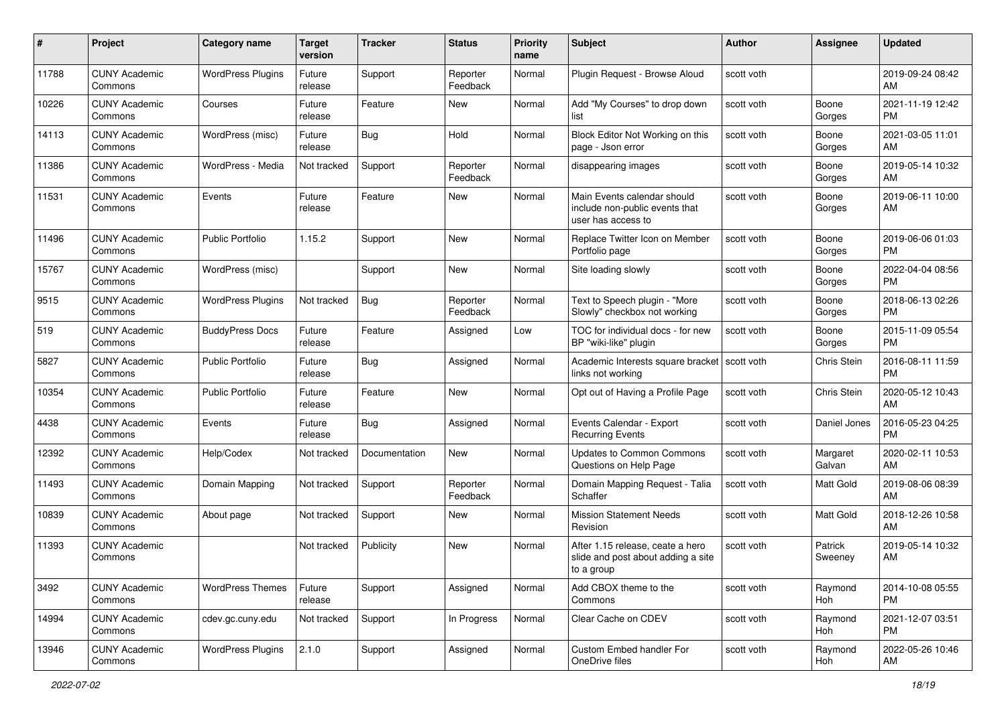| #     | Project                         | <b>Category name</b>     | <b>Target</b><br>version | <b>Tracker</b> | <b>Status</b>        | <b>Priority</b><br>name | <b>Subject</b>                                                                       | <b>Author</b> | <b>Assignee</b>    | <b>Updated</b>                |
|-------|---------------------------------|--------------------------|--------------------------|----------------|----------------------|-------------------------|--------------------------------------------------------------------------------------|---------------|--------------------|-------------------------------|
| 11788 | <b>CUNY Academic</b><br>Commons | <b>WordPress Plugins</b> | Future<br>release        | Support        | Reporter<br>Feedback | Normal                  | Plugin Request - Browse Aloud                                                        | scott voth    |                    | 2019-09-24 08:42<br>AM        |
| 10226 | <b>CUNY Academic</b><br>Commons | Courses                  | Future<br>release        | Feature        | New                  | Normal                  | Add "My Courses" to drop down<br>list                                                | scott voth    | Boone<br>Gorges    | 2021-11-19 12:42<br><b>PM</b> |
| 14113 | <b>CUNY Academic</b><br>Commons | WordPress (misc)         | Future<br>release        | Bug            | Hold                 | Normal                  | Block Editor Not Working on this<br>page - Json error                                | scott voth    | Boone<br>Gorges    | 2021-03-05 11:01<br>AM        |
| 11386 | <b>CUNY Academic</b><br>Commons | WordPress - Media        | Not tracked              | Support        | Reporter<br>Feedback | Normal                  | disappearing images                                                                  | scott voth    | Boone<br>Gorges    | 2019-05-14 10:32<br>AM        |
| 11531 | <b>CUNY Academic</b><br>Commons | Events                   | Future<br>release        | Feature        | New                  | Normal                  | Main Events calendar should<br>include non-public events that<br>user has access to  | scott voth    | Boone<br>Gorges    | 2019-06-11 10:00<br>AM        |
| 11496 | <b>CUNY Academic</b><br>Commons | <b>Public Portfolio</b>  | 1.15.2                   | Support        | New                  | Normal                  | Replace Twitter Icon on Member<br>Portfolio page                                     | scott voth    | Boone<br>Gorges    | 2019-06-06 01:03<br><b>PM</b> |
| 15767 | <b>CUNY Academic</b><br>Commons | WordPress (misc)         |                          | Support        | New                  | Normal                  | Site loading slowly                                                                  | scott voth    | Boone<br>Gorges    | 2022-04-04 08:56<br><b>PM</b> |
| 9515  | <b>CUNY Academic</b><br>Commons | <b>WordPress Plugins</b> | Not tracked              | <b>Bug</b>     | Reporter<br>Feedback | Normal                  | Text to Speech plugin - "More<br>Slowly" checkbox not working                        | scott voth    | Boone<br>Gorges    | 2018-06-13 02:26<br><b>PM</b> |
| 519   | <b>CUNY Academic</b><br>Commons | <b>BuddyPress Docs</b>   | Future<br>release        | Feature        | Assigned             | Low                     | TOC for individual docs - for new<br>BP "wiki-like" plugin                           | scott voth    | Boone<br>Gorges    | 2015-11-09 05:54<br><b>PM</b> |
| 5827  | <b>CUNY Academic</b><br>Commons | <b>Public Portfolio</b>  | Future<br>release        | Bug            | Assigned             | Normal                  | Academic Interests square bracket   scott voth<br>links not working                  |               | <b>Chris Stein</b> | 2016-08-11 11:59<br><b>PM</b> |
| 10354 | <b>CUNY Academic</b><br>Commons | <b>Public Portfolio</b>  | Future<br>release        | Feature        | New                  | Normal                  | Opt out of Having a Profile Page                                                     | scott voth    | Chris Stein        | 2020-05-12 10:43<br>AM        |
| 4438  | <b>CUNY Academic</b><br>Commons | Events                   | Future<br>release        | Bug            | Assigned             | Normal                  | Events Calendar - Export<br><b>Recurring Events</b>                                  | scott voth    | Daniel Jones       | 2016-05-23 04:25<br><b>PM</b> |
| 12392 | <b>CUNY Academic</b><br>Commons | Help/Codex               | Not tracked              | Documentation  | New                  | Normal                  | Updates to Common Commons<br>Questions on Help Page                                  | scott voth    | Margaret<br>Galvan | 2020-02-11 10:53<br>AM        |
| 11493 | <b>CUNY Academic</b><br>Commons | Domain Mapping           | Not tracked              | Support        | Reporter<br>Feedback | Normal                  | Domain Mapping Request - Talia<br>Schaffer                                           | scott voth    | Matt Gold          | 2019-08-06 08:39<br>AM        |
| 10839 | <b>CUNY Academic</b><br>Commons | About page               | Not tracked              | Support        | New                  | Normal                  | <b>Mission Statement Needs</b><br>Revision                                           | scott voth    | Matt Gold          | 2018-12-26 10:58<br>AM        |
| 11393 | <b>CUNY Academic</b><br>Commons |                          | Not tracked              | Publicity      | New                  | Normal                  | After 1.15 release, ceate a hero<br>slide and post about adding a site<br>to a group | scott voth    | Patrick<br>Sweeney | 2019-05-14 10:32<br>AM        |
| 3492  | <b>CUNY Academic</b><br>Commons | <b>WordPress Themes</b>  | Future<br>release        | Support        | Assigned             | Normal                  | Add CBOX theme to the<br>Commons                                                     | scott voth    | Raymond<br>Hoh     | 2014-10-08 05:55<br><b>PM</b> |
| 14994 | <b>CUNY Academic</b><br>Commons | cdev.gc.cuny.edu         | Not tracked              | Support        | In Progress          | Normal                  | Clear Cache on CDEV                                                                  | scott voth    | Raymond<br>Hoh     | 2021-12-07 03:51<br><b>PM</b> |
| 13946 | <b>CUNY Academic</b><br>Commons | <b>WordPress Plugins</b> | 2.1.0                    | Support        | Assigned             | Normal                  | Custom Embed handler For<br>OneDrive files                                           | scott voth    | Raymond<br>Hoh     | 2022-05-26 10:46<br>AM        |